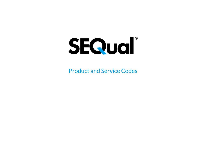

Product and Service Codes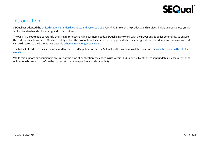

#### **Introduction**

SEQual has adopted th[e United Nations Standard Products and Services Code](https://www.unspsc.org/) (UNSPSC®) to classify products and services. This is an open, global, multisector standard used in the energy industry worldwide.

The UNSPSC code set is constantly evolving to reflect changing business needs. SEQual aims to work with the Buyer and Supplier community to ensure the codes available within SEQual accurately reflect the products and services currently provided in the energy industry. Feedback and enquiries on codes can be directed to the Scheme Manager vi[a scheme.manager@sequal.co.uk.](mailto:scheme.manager@sequal.co.uk)

The full set of codes in use can be accessed by registered Suppliers within the SEQual platform and is available to all via the code browser [on the SEQual](https://app.sequal.co.uk/ProductServices)  [website.](https://app.sequal.co.uk/ProductServices)

While this supporting document is accurate at the time of publication, the codes in use within SEQual are subject to frequent updates. Please refer to the online code browser to confirm the current status of any particular code or activity.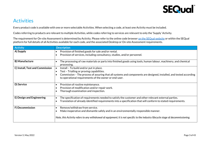

#### **Activities**

Every product code is available with one or more selectable Activities. When selecting a code, at least one Activity must be included.

Codes referring to products are relevant to multiple Activities, while codes referring to services are relevant to only the 'Supply' Activity.

The requirement for On-site Assessment is determined by Activity. Please refer to the online code browser [on the SEQual website](https://app.sequal.co.uk/ProductServices) or within the SEQual platform for full details of all Activities available for each code, and the associated Desktop or On-site Assessment requirements.

| <b>Activity</b>                 | <b>Description</b>                                                                                                                                                                                                                                                                            |
|---------------------------------|-----------------------------------------------------------------------------------------------------------------------------------------------------------------------------------------------------------------------------------------------------------------------------------------------|
| A) Supply                       | Provision of finished goods for sale and/or rental.<br>Provision of services, including consultancy, studies, and/or personnel.<br>$\bullet$                                                                                                                                                  |
| B) Manufacture                  | The processing of raw materials or parts into finished goods using tools, human labour, machinery, and chemical<br>processing.                                                                                                                                                                |
| C) Install, Test and Commission | Install - To build and/or put in place.<br>$\bullet$<br>Test - Trialling or proving capabilities.<br>$\bullet$<br>Commission - The process of assuring that all systems and components are designed, installed, and tested according<br>to operational requirements of the owner or end-user. |
| D) Service                      | Provision of routine maintenance.<br>$\bullet$<br>Provision of modification and/or repair work.<br>Thorough examination and inspection.<br>$\bullet$                                                                                                                                          |
| E) Design and Engineering       | The specification of requirements needed to satisfy the customer and other relevant external parties.<br>Translation of already identified requirements into a specification that will conform to stated requirements.<br>$\bullet$                                                           |
| F) Decommission                 | Remove/withdraw from service.<br>$\bullet$<br>Make inoperative and dismantle safely and in an environmentally responsible manner.<br>Note, this Activity refers to any withdrawal of equipment; it is not specific to the industry lifecycle stage of decommissioning.                        |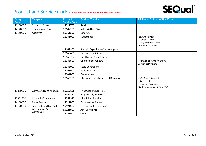

| <b>Category</b> | <b>Category</b>                | Product /           | <b>Product / Service</b>            | <b>Additional Options Within Code</b>                                                             |
|-----------------|--------------------------------|---------------------|-------------------------------------|---------------------------------------------------------------------------------------------------|
| Code            |                                | <b>Service Code</b> |                                     |                                                                                                   |
| 11110000        | Earth and Stone                | 11111700            | Sand                                |                                                                                                   |
| 12140000        | <b>Elements and Gases</b>      | 12142100            | <b>Industrial Use Gases</b>         |                                                                                                   |
| 12160000        | Additives                      | 12161600            | Catalysts                           |                                                                                                   |
|                 |                                | 12161900            | Surfactants                         | <b>Foaming Agents</b><br><b>Dispersing Agents</b><br>Detergent Surfactants<br>Anti Foaming Agents |
|                 |                                | 12162900            | Paraffin Asphaltene Control Agents  |                                                                                                   |
|                 |                                | 12163600            | <b>Corrosion Inhibitors</b>         |                                                                                                   |
|                 |                                | 12163700            | Gas Hydrate Controllers             |                                                                                                   |
|                 |                                | 12163800            | <b>Chemical Scavengers</b>          | Hydrogen Sulfide Scavengers<br>Oxygen Scavengers                                                  |
|                 |                                | 12163900            | <b>Scale Controllers</b>            |                                                                                                   |
|                 |                                | 12163901            | Scale Inhibitor                     |                                                                                                   |
|                 |                                | 12164000            | <b>Bactericides</b>                 |                                                                                                   |
|                 |                                | 12165100            | Chemicals for Enhanced Oil Recovery | Surfactant Polymer SP<br>Polymer Gel<br>Dispersant Surfactant<br>Alkali Polymer Surfactant ASP    |
| 12350000        | <b>Compounds and Mixtures</b>  | 12352136            | Triethylene Glycol TEG              |                                                                                                   |
|                 |                                | 12352137            | Ethylene Glycol MEG                 |                                                                                                   |
| 12352300        | Inorganic Compounds            | 12352317            | Aluminium Fluoride                  |                                                                                                   |
| 14110000        | Paper Products                 | 14111800            | <b>Business Use Papers</b>          |                                                                                                   |
| 15120000        | Lubricants and Oils and        | 15121500            | <b>Lubricating Preparations</b>     |                                                                                                   |
|                 | Greases and Anti<br>Corrosives | 15121800            | <b>Anti Corrosives</b>              |                                                                                                   |
|                 |                                | 15121900            | Greases                             |                                                                                                   |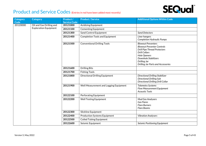

| <b>Category</b> | <b>Category</b>              | Product /           | <b>Product / Service</b>               | <b>Additional Options Within Code</b>                                                                                                                                                                                                     |
|-----------------|------------------------------|---------------------|----------------------------------------|-------------------------------------------------------------------------------------------------------------------------------------------------------------------------------------------------------------------------------------------|
| Code            |                              | <b>Service Code</b> |                                        |                                                                                                                                                                                                                                           |
| 20120000        | Oil and Gas Drilling and     | 20121000            | Acidizing Equipment                    |                                                                                                                                                                                                                                           |
|                 | <b>Exploration Equipment</b> | 20121100            | <b>Cementing Equipment</b>             |                                                                                                                                                                                                                                           |
|                 |                              | 20121300            | Sand Control Equipment                 | <b>Sand Detectors</b>                                                                                                                                                                                                                     |
|                 |                              | 20121400            | <b>Completion Tools and Equipment</b>  | Liner hangers<br><b>Completion Hydraulic Pumps</b>                                                                                                                                                                                        |
|                 |                              | 20121500            | <b>Conventional Drilling Tools</b>     | <b>Blowout Preventers</b><br><b>Blowout Preventer Controls</b><br><b>Drill Pipe Thread Protectors</b><br><b>Drill Collars</b><br><b>Hole Openers</b><br>Downhole Stabilizers<br>Drilling Jar<br><b>Drilling Jar Parts and Accessories</b> |
|                 |                              | 20121600            | <b>Drilling Bits</b>                   |                                                                                                                                                                                                                                           |
|                 |                              | 20121700            | <b>Fishing Tools</b>                   |                                                                                                                                                                                                                                           |
|                 |                              | 20121800            | <b>Directional Drilling Equipment</b>  | <b>Directional Drilling Stabilizer</b><br><b>Directional Drilling Sub</b><br><b>Directional Drilling Drill Collar</b>                                                                                                                     |
|                 |                              | 20121900            | Well Measurement and Logging Equipment | <b>Telemetry Systems</b><br>Flow Measurement Equipment<br><b>Acoustic Tools</b>                                                                                                                                                           |
|                 |                              | 20122100            | Perforating Equipment                  |                                                                                                                                                                                                                                           |
|                 |                              | 20122200            | <b>Well Testing Equipment</b>          | <b>Mud Gas Analysers</b><br><b>Gas Flares</b><br><b>Flare Burners</b><br><b>Flare Booms</b>                                                                                                                                               |
|                 |                              | 20122300            | Slickline Equipment                    |                                                                                                                                                                                                                                           |
|                 |                              | 20122400            | <b>Production Systems Equipment</b>    | <b>Vibration Analysers</b>                                                                                                                                                                                                                |
|                 |                              | 20122500            | <b>Coiled Tubing Equipment</b>         |                                                                                                                                                                                                                                           |
|                 |                              | 20122600            | Seismic Equipment                      | Seismic Positioning Equipment                                                                                                                                                                                                             |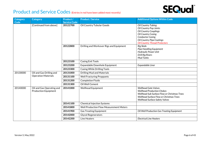

| Category<br>Code | <b>Category</b>                                          | Product /<br><b>Service Code</b> | <b>Product / Service</b>                       | <b>Additional Options Within Code</b>                                                                                                                                                                                   |
|------------------|----------------------------------------------------------|----------------------------------|------------------------------------------------|-------------------------------------------------------------------------------------------------------------------------------------------------------------------------------------------------------------------------|
|                  | [Continued from above]                                   | 20122700                         | Oil Country Tubular Goods                      | <b>Oil Country Tubing</b><br>Oil Country Pup Joints<br><b>Oil Country Couplings</b><br><b>Oil Country Casing</b><br><b>Conductor Casing</b><br><b>Oil Country Pipe Coatings</b><br><b>Oil Country Thread Protectors</b> |
|                  |                                                          | 20122800                         | Drilling and Workover Rigs and Equipment       | <b>Rig Skids</b><br>Pipe Handling Equipment<br><b>Hydraulic Power Unit</b><br><b>Drill Rig Risers</b><br><b>Mud Tanks</b>                                                                                               |
|                  |                                                          | 20123100                         | <b>Casing Exit Tools</b>                       |                                                                                                                                                                                                                         |
|                  |                                                          | 20123200                         | Expandable Downhole Equipment                  | Expandable Liner                                                                                                                                                                                                        |
|                  |                                                          | 20123300                         | <b>Casing While Drilling Tools</b>             |                                                                                                                                                                                                                         |
| 20130000         | Oil and Gas Drilling and<br><b>Operation Materials</b>   | 20131000                         | Drilling Mud and Materials                     |                                                                                                                                                                                                                         |
|                  |                                                          | 20131100                         | <b>Well Fracturing Proppants</b>               |                                                                                                                                                                                                                         |
|                  |                                                          | 20131200                         | <b>Completion Fluids</b>                       |                                                                                                                                                                                                                         |
|                  |                                                          | 20131300                         | Oil Well Cement                                |                                                                                                                                                                                                                         |
| 20140000         | Oil and Gas Operating and<br><b>Production Equipment</b> | 20141000                         | <b>Wellhead Equipment</b>                      | <b>Wellhead Gate Valves</b><br><b>Wellhead Production Chokes</b><br>Wellhead Sub Surface Flow or Christmas Trees<br>Wellhead Surface Flow or Christmas Trees<br><b>Wellhead Surface Safety Valves</b>                   |
|                  |                                                          | 20141100                         | <b>Chemical Injection Systems</b>              |                                                                                                                                                                                                                         |
|                  |                                                          | 20141800                         | <b>Well Production Flow Measurement Meters</b> |                                                                                                                                                                                                                         |
|                  |                                                          | 20141900                         | <b>Gas Treating Equipment</b>                  | Oil Well Production Gas Treating Equipment                                                                                                                                                                              |
|                  |                                                          | 20142000                         | <b>Glycol Regenerators</b>                     |                                                                                                                                                                                                                         |
|                  |                                                          | 20142200                         | Line Heaters                                   | <b>Electrical Line Heaters</b>                                                                                                                                                                                          |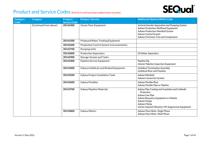

| <b>Category</b><br>Code | <b>Category</b>        | Product /<br><b>Service Code</b> | <b>Product / Service</b>                         | <b>Additional Options Within Code</b>                                                                                                                                                                                    |
|-------------------------|------------------------|----------------------------------|--------------------------------------------------|--------------------------------------------------------------------------------------------------------------------------------------------------------------------------------------------------------------------------|
|                         | [Continued from above] | 20142400                         | Ocean Floor Equipment                            | Vertical Annular Separation and Pumping System<br><b>Subsea Production Wellhead Equipment</b><br>Subsea Production Manifold System<br>Subsea Control System<br>Subsea Christmas Tree and Components                      |
|                         |                        | 20142500                         | <b>Produced Water Treating Equipment</b>         |                                                                                                                                                                                                                          |
|                         |                        | 20142600                         | <b>Production Control System Instrumentation</b> |                                                                                                                                                                                                                          |
|                         |                        | 20142700                         | <b>Pumping Units</b>                             |                                                                                                                                                                                                                          |
|                         |                        | 20142800                         | <b>Production Separators</b>                     | Oil Water Separators                                                                                                                                                                                                     |
|                         |                        | 20142900                         | <b>Storage Vessels and Tanks</b>                 |                                                                                                                                                                                                                          |
|                         |                        | 20143300                         | Pipeline Service Equipment                       | Pipeline Pig<br>Interior Pipeline Inspection Equipment                                                                                                                                                                   |
|                         |                        | 20143400                         | Subsea Umbilicals and Related Equipment          | <b>Umbilical Termination Assembly</b><br><b>Umbilical Riser and Flowline</b>                                                                                                                                             |
|                         |                        | 20143500                         | Subsea Project Installation Tools                | Subsea Manifold<br><b>Subsea Connection System</b>                                                                                                                                                                       |
|                         |                        | 20143600                         | Subsea Flexibles                                 | Subsea Flexible Riser<br>Subsea Flexible Pipe or Pipeline                                                                                                                                                                |
|                         |                        | 20143700                         | Subsea Pipeline Materials                        | Subsea Pipe Coating and Insulation and Cathodic<br>Protection<br>Subsea Line Pipe<br>Subsea Buoyancy Equipment or Module<br>Subsea Flange<br>Subsea Fitting<br><b>Vortex Induced Vibration VIV Suppression Equipment</b> |
|                         |                        | 20143800                         | Subsea Meters                                    | Subsea Flow Meter, Single Phase<br>Subsea Flow Meter, Multi Phase                                                                                                                                                        |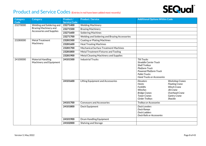

| Category<br>Code                                         | <b>Category</b>                              | Product /<br><b>Service Code</b>              | <b>Product / Service</b>                 | <b>Additional Options Within Code</b>                                                                                                                                                               |                                                                                                                                               |
|----------------------------------------------------------|----------------------------------------------|-----------------------------------------------|------------------------------------------|-----------------------------------------------------------------------------------------------------------------------------------------------------------------------------------------------------|-----------------------------------------------------------------------------------------------------------------------------------------------|
| 23270000                                                 | Welding and Soldering and                    | 23271400                                      | <b>Welding Machinery</b>                 |                                                                                                                                                                                                     |                                                                                                                                               |
| Brazing Machinery and<br><b>Accessories and Supplies</b> |                                              | 23271500                                      | <b>Brazing Machinery</b>                 |                                                                                                                                                                                                     |                                                                                                                                               |
|                                                          |                                              | 23271600                                      | <b>Soldering Machines</b>                |                                                                                                                                                                                                     |                                                                                                                                               |
|                                                          | 23271700                                     | Welding and Soldering and Brazing Accessories |                                          |                                                                                                                                                                                                     |                                                                                                                                               |
| 23280000                                                 | <b>Metal Treatment</b>                       | 23281500                                      | <b>Coating or Plating Machines</b>       |                                                                                                                                                                                                     |                                                                                                                                               |
|                                                          | Machinery                                    | 23281600                                      | <b>Heat Treating Machines</b>            |                                                                                                                                                                                                     |                                                                                                                                               |
|                                                          |                                              | 23281700                                      | Mechanical Surface Treatment Machines    |                                                                                                                                                                                                     |                                                                                                                                               |
|                                                          |                                              | 23281800                                      | Metal Treatment Fixtures and Tooling     |                                                                                                                                                                                                     |                                                                                                                                               |
|                                                          |                                              | 23281900                                      | Metal Cleaning Machinery and Supplies    |                                                                                                                                                                                                     |                                                                                                                                               |
| 24100000                                                 | Material Handling<br>Machinery and Equipment | 24101500                                      | <b>Industrial Trucks</b>                 | <b>Tilt Trucks</b><br><b>Straddle Carrier Truck</b><br><b>Shelf Trolleys</b><br><b>Platform Truck</b><br><b>Powered Platform Truck</b><br><b>Pallet Trucks</b><br><b>Hand Trucks or Accessories</b> |                                                                                                                                               |
|                                                          |                                              | 24101600                                      | <b>Lifting Equipment and Accessories</b> | Elevators<br><b>Hoists</b><br><b>Forklifts</b><br>Winches<br><b>Bridge Cranes</b><br><b>Tower Cranes</b><br><b>Girder Trolleys</b>                                                                  | <b>Workshop Cranes</b><br><b>Floating Crane</b><br><b>Winch Crane</b><br>Jib Crane<br>Overhead Crane<br><b>Gantry Crane</b><br><b>Shackle</b> |
|                                                          |                                              | 24101700                                      | <b>Conveyors and Accessories</b>         | <b>Trolleys or Accessories</b>                                                                                                                                                                      |                                                                                                                                               |
|                                                          |                                              | 24101800                                      | Dock Equipment                           | Dock Levelers<br>Dock Ramps<br>Dock Ladders<br><b>Dock Rails or Accessories</b>                                                                                                                     |                                                                                                                                               |
|                                                          |                                              | 24101900                                      | Drum Handling Equipment                  |                                                                                                                                                                                                     |                                                                                                                                               |
|                                                          |                                              | 24102000                                      | Shelving and Storage                     |                                                                                                                                                                                                     |                                                                                                                                               |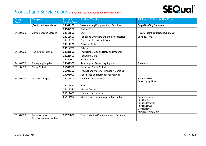## **SEQual**®

| Category<br>Code | <b>Category</b>                                 | Product /                       | <b>Product / Service</b>                       | <b>Additional Options Within Code</b>                                                                                                                  |
|------------------|-------------------------------------------------|---------------------------------|------------------------------------------------|--------------------------------------------------------------------------------------------------------------------------------------------------------|
|                  | [Continued from above]                          | <b>Service Code</b><br>24102100 | <b>Warehousing Equipment and Supplies</b>      | Cargo Handling Equipment                                                                                                                               |
|                  |                                                 | 24102200                        | Packing Tools                                  |                                                                                                                                                        |
| 24110000         | <b>Containers and Storage</b>                   | 24111500                        | <b>Bags</b>                                    | Flexible Intermediate Bulk Containers                                                                                                                  |
|                  |                                                 | 24111800                        | Tanks and Cylinders and their Accessories      | <b>Chemical Tanks</b>                                                                                                                                  |
|                  |                                                 | 24112100                        | <b>Casks and Barrels and Drums</b>             |                                                                                                                                                        |
|                  |                                                 | 24112200                        | <b>Cans and Pails</b>                          |                                                                                                                                                        |
|                  |                                                 | 24112700                        | Pallets                                        |                                                                                                                                                        |
| 24120000         | Packaging Materials                             | 24121500                        | Packaging Boxes and Bags and Pouches           |                                                                                                                                                        |
|                  |                                                 | 24121800                        | Packaging Cans                                 |                                                                                                                                                        |
|                  |                                                 | 24122000                        | <b>Bottles or Vials</b>                        |                                                                                                                                                        |
| 24140000         | Packaging Supplies                              | 24141500                        | Securing and Protecting Supplies               | <b>Tarpaulins</b>                                                                                                                                      |
| 25100000         | <b>Motor Vehicles</b>                           | 25101500                        | Passenger Motor Vehicles                       |                                                                                                                                                        |
|                  |                                                 | 25101600                        | <b>Product and Material Transport Vehicles</b> |                                                                                                                                                        |
|                  |                                                 | 25101900                        | Specialised and Recreational Vehicles          |                                                                                                                                                        |
| 25110000         | Marine Transport                                | 25111500                        | <b>Commercial Marine Craft</b>                 | Seismic Vessel<br>Cable Laying Ships                                                                                                                   |
|                  |                                                 | 25111520                        | Buoy                                           |                                                                                                                                                        |
|                  |                                                 | 25111521                        | Marine Anchor                                  |                                                                                                                                                        |
|                  |                                                 | 25111601                        | Lifeboats or Liferafts                         |                                                                                                                                                        |
|                  |                                                 | 25111900                        | Marine Craft Systems and Subassemblies         | <b>Anchor Chocks</b><br><b>Anchor Lines</b><br><b>Anchor Retrievers</b><br><b>Anchor Rollers</b><br><b>Deck Hatches</b><br><b>Marine Steering Gear</b> |
| 25170000         | Transportation<br><b>Components and Systems</b> | 25170000                        | Transportation Components and Systems          |                                                                                                                                                        |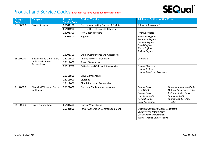

| Category<br>Code | <b>Category</b>                                 | Product /<br><b>Service Code</b> | <b>Product / Service</b>                      | <b>Additional Options Within Code</b>                                                                                                                                                                                                                                         |
|------------------|-------------------------------------------------|----------------------------------|-----------------------------------------------|-------------------------------------------------------------------------------------------------------------------------------------------------------------------------------------------------------------------------------------------------------------------------------|
| 26100000         | <b>Power Sources</b>                            | 26101100                         | <b>Electric Alternating Current AC Motors</b> | Submersible Motor AC                                                                                                                                                                                                                                                          |
|                  |                                                 | 26101200                         | <b>Electric Direct Current DC Motors</b>      |                                                                                                                                                                                                                                                                               |
|                  |                                                 | 26101300                         | <b>Non Electric Motors</b>                    | <b>Hydraulic Motor</b>                                                                                                                                                                                                                                                        |
|                  |                                                 | 26101500                         | Engines                                       | <b>Hydraulic Engines</b><br><b>Pneumatic Engines</b><br><b>Gasoline Engines</b><br><b>Diesel Engines</b><br><b>Steam Engines</b><br><b>Turbine Engines</b>                                                                                                                    |
|                  |                                                 | 26101700                         | <b>Engine Components and Accessories</b>      |                                                                                                                                                                                                                                                                               |
| 26110000         | <b>Batteries and Generators</b>                 | 26111500                         | Kinetic Power Transmission                    | <b>Gear Units</b>                                                                                                                                                                                                                                                             |
|                  | and Kinetic Power<br>Transmission               | 26111600                         | <b>Power Generators</b>                       |                                                                                                                                                                                                                                                                               |
|                  |                                                 | 26111700                         | <b>Batteries and Cells and Accessories</b>    | <b>Battery Chargers</b><br><b>Battery Testers</b><br><b>Battery Adapter or Accessories</b>                                                                                                                                                                                    |
|                  |                                                 | 26111800                         | <b>Drive Components</b>                       |                                                                                                                                                                                                                                                                               |
|                  |                                                 | 26111900                         | Clutches                                      |                                                                                                                                                                                                                                                                               |
|                  |                                                 | 26112000                         | <b>Clutch Parts and Accessories</b>           |                                                                                                                                                                                                                                                                               |
| 26120000         | <b>Electrical Wire and Cable</b><br>and Harness | 26121600                         | <b>Electrical Cable and Accessories</b>       | <b>Control Cable</b><br><b>Telecommunications Cable</b><br>Signal Cable<br><b>Outdoor Fiber Optics Cable</b><br>Coaxial Cable<br><b>Instrumentation Cable</b><br>Fiber Optic Cable<br>Submarine Cable<br>Network Cable<br>Submarine Fiber Optic<br>Cable Accessories<br>Cable |
| 26130000         | <b>Power Generation</b>                         | 26131608                         | <b>Flare or Vent Stacks</b>                   |                                                                                                                                                                                                                                                                               |
|                  |                                                 | 26131800                         | Power Generation Control Equipment            | <b>Electrical Control Panels for Generators</b><br><b>Compressor Control Panels</b><br><b>Gas Turbine Control Panels</b><br><b>Steam Turbines Control Panels</b>                                                                                                              |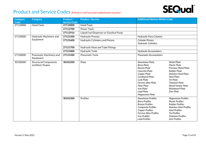

| <b>Category</b> | <b>Category</b>                                  | Product /           | <b>Product / Service</b>                | <b>Additional Options Within Code</b>                                                                                                                                                                                                                                                                                                                                                                                                  |                                                                                                                                                                                                                                                                                                                                                                                                                                                                                                                      |  |
|-----------------|--------------------------------------------------|---------------------|-----------------------------------------|----------------------------------------------------------------------------------------------------------------------------------------------------------------------------------------------------------------------------------------------------------------------------------------------------------------------------------------------------------------------------------------------------------------------------------------|----------------------------------------------------------------------------------------------------------------------------------------------------------------------------------------------------------------------------------------------------------------------------------------------------------------------------------------------------------------------------------------------------------------------------------------------------------------------------------------------------------------------|--|
| Code            |                                                  | <b>Service Code</b> |                                         |                                                                                                                                                                                                                                                                                                                                                                                                                                        |                                                                                                                                                                                                                                                                                                                                                                                                                                                                                                                      |  |
| 27110000        | <b>Hand Tools</b>                                | 27110000            | Hand Tools                              |                                                                                                                                                                                                                                                                                                                                                                                                                                        |                                                                                                                                                                                                                                                                                                                                                                                                                                                                                                                      |  |
|                 |                                                  | 27112700            | <b>Power Tools</b>                      |                                                                                                                                                                                                                                                                                                                                                                                                                                        |                                                                                                                                                                                                                                                                                                                                                                                                                                                                                                                      |  |
|                 |                                                  | 27112916            | Liquid Fuel Dispenser or Gasoline Pump  |                                                                                                                                                                                                                                                                                                                                                                                                                                        |                                                                                                                                                                                                                                                                                                                                                                                                                                                                                                                      |  |
| 27120000        | Hydraulic Machinery and                          | 27121500            | <b>Hydraulic Presses</b>                | <b>Hydraulic Press Columns</b>                                                                                                                                                                                                                                                                                                                                                                                                         |                                                                                                                                                                                                                                                                                                                                                                                                                                                                                                                      |  |
|                 | Equipment                                        | 27121600            | <b>Hydraulic Cylinders and Pistons</b>  | <b>Cylinder Pistons</b><br><b>Hydraulic Cylinders</b>                                                                                                                                                                                                                                                                                                                                                                                  |                                                                                                                                                                                                                                                                                                                                                                                                                                                                                                                      |  |
|                 |                                                  | 27121700            | <b>Hydraulic Hose and Tube Fittings</b> |                                                                                                                                                                                                                                                                                                                                                                                                                                        |                                                                                                                                                                                                                                                                                                                                                                                                                                                                                                                      |  |
|                 |                                                  | 27121800            | <b>Hydraulic Tools</b>                  | <b>Hydraulic Accumulators</b>                                                                                                                                                                                                                                                                                                                                                                                                          |                                                                                                                                                                                                                                                                                                                                                                                                                                                                                                                      |  |
| 27130000        | Pneumatic Machinery and<br>Equipment             | 27131500            | <b>Pneumatic Tools</b>                  | <b>Pneumatic Accumulators</b>                                                                                                                                                                                                                                                                                                                                                                                                          |                                                                                                                                                                                                                                                                                                                                                                                                                                                                                                                      |  |
| 30100000        | <b>Structural Components</b><br>and Basic Shapes |                     | 30102200                                | Plate                                                                                                                                                                                                                                                                                                                                                                                                                                  | <b>Aluminium Plate</b><br><b>Nickel Plate</b><br><b>Brass Plate</b><br><b>Plastic Plate</b><br><b>Bronze Plate</b><br><b>Precious Metal Plate</b><br><b>Rubber Plate</b><br>Concrete Plate<br>Copper Plate<br><b>Stainless Steel Plate</b><br>Coreboard Plate<br><b>Steel Plate</b><br><b>Cork Plate</b><br><b>Tin Plate</b><br><b>Titanium Plate</b><br>Ferrous alloy Plate<br><b>Fiber Plate</b><br>Wood Veneer Plate<br><b>Iron Plate</b><br>Woodwool Plate<br><b>Lead Plate</b><br>Zinc Plate<br>Magnesium Plate |  |
|                 |                                                  | 30102300            | Profiles                                | <b>Aluminium Profiles</b><br><b>Magnesium Profiles</b><br><b>Brass Profiles</b><br><b>Plastic Profiles</b><br><b>Bronze Profiles</b><br><b>Rubber Profiles</b><br>Composite Profiles<br><b>Stainless Steel Profiles</b><br><b>Copper Profiles</b><br><b>Steel Profiles</b><br><b>Ferrous Alloy Profiles</b><br><b>Tin Profiles</b><br><b>Iron Profiles</b><br><b>Titanium Profiles</b><br><b>Lead Profiles</b><br><b>Zinc Profiles</b> |                                                                                                                                                                                                                                                                                                                                                                                                                                                                                                                      |  |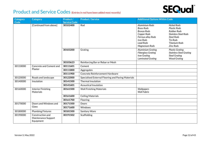

| <b>Category</b><br>Code | <b>Category</b>                                      | Product /<br><b>Service Code</b> | <b>Product / Service</b>                           | <b>Additional Options Within Code</b>                                                                                                             |                                                                                                                                                                             |
|-------------------------|------------------------------------------------------|----------------------------------|----------------------------------------------------|---------------------------------------------------------------------------------------------------------------------------------------------------|-----------------------------------------------------------------------------------------------------------------------------------------------------------------------------|
|                         | [Continued from above]                               | 30102400                         | Rod                                                | <b>Aluminium Rods</b><br><b>Brass Rods</b><br><b>Bronze Rods</b><br>Copper Rods<br>Ferrous alloy Rods<br>Iron Rods<br>Lead Rods<br>Magnesium Rods | Nickel Rods<br><b>Plastic Rods</b><br><b>Rubber Rods</b><br><b>Stainless Steel Rods</b><br><b>Steel Rods</b><br><b>Tin Rods</b><br><b>Titanium Rods</b><br><b>Zinc Rods</b> |
|                         |                                                      | 30103200                         | Grating                                            | <b>Aluminium Grating</b><br><b>Fiberglass Grating</b><br><b>Iron Grating</b><br><b>Laminated Grating</b>                                          | <b>Plastic Grating</b><br><b>Stainless Steel Grating</b><br><b>Steel Grating</b><br><b>Wood Grating</b>                                                                     |
|                         |                                                      | 30103623                         | Reinforcing Bar or Rebar or Mesh                   |                                                                                                                                                   |                                                                                                                                                                             |
| 30110000                | Concrete and Cement and                              | 30111601                         | Cement                                             |                                                                                                                                                   |                                                                                                                                                                             |
|                         | Plaster                                              | 30111800                         | Aggregates                                         |                                                                                                                                                   |                                                                                                                                                                             |
|                         |                                                      | 30111900                         | Concrete Reinforcement Hardware                    |                                                                                                                                                   |                                                                                                                                                                             |
| 30120000                | Roads and landscape                                  | 30122000                         | Specialised External Flooring and Paving Materials |                                                                                                                                                   |                                                                                                                                                                             |
| 30140000                | Insulation                                           | 30141500                         | <b>Thermal Insulation</b>                          |                                                                                                                                                   |                                                                                                                                                                             |
|                         |                                                      | 30141601                         | <b>Acoustical Insulation</b>                       |                                                                                                                                                   |                                                                                                                                                                             |
| 30160000                | <b>Interior Finishing</b><br>Materials               | 30161500                         | <b>Wall Finishing Materials</b>                    | Wallpapers<br><b>Wall Fabric</b>                                                                                                                  |                                                                                                                                                                             |
|                         |                                                      | 30161600                         | <b>Ceiling Materials</b>                           |                                                                                                                                                   |                                                                                                                                                                             |
|                         |                                                      | 30161700                         | Flooring                                           |                                                                                                                                                   |                                                                                                                                                                             |
| 30170000                | Doors and Windows and                                | 30171500                         | Doors                                              |                                                                                                                                                   |                                                                                                                                                                             |
|                         | Glass                                                | 30171600                         | <b>Windows</b>                                     |                                                                                                                                                   |                                                                                                                                                                             |
| 30180000                | <b>Plumbing Fixtures</b>                             | 30181500                         | Sanitary Ware                                      |                                                                                                                                                   |                                                                                                                                                                             |
| 30190000                | Construction and<br>Maintenance Support<br>Equipment | 30191502                         | Scaffolding                                        |                                                                                                                                                   |                                                                                                                                                                             |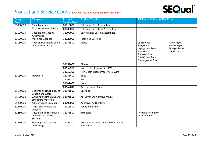

| <b>Category</b><br>Code | <b>Category</b>                                            | Product /<br><b>Service Code</b> | <b>Product / Service</b>                              | <b>Additional Options Within Code</b>                                                                                                                                                              |
|-------------------------|------------------------------------------------------------|----------------------------------|-------------------------------------------------------|----------------------------------------------------------------------------------------------------------------------------------------------------------------------------------------------------|
| 31000000                | Manufacturing                                              | 31310000                         | <b>Fabricated Pipe Assemblies</b>                     |                                                                                                                                                                                                    |
|                         | <b>Components and Supplies</b>                             | 31330000                         | <b>Fabricated Structural Assemblies</b>               |                                                                                                                                                                                                    |
| 31100000                | <b>Castings and Casting</b><br>Assemblies                  | 31100000                         | <b>Castings and Casting Assemblies</b>                |                                                                                                                                                                                                    |
| 31120000                | <b>Machined Castings</b>                                   | 31120000                         | <b>Machined Castings</b>                              |                                                                                                                                                                                                    |
| 31150000                | Rope and Chain and Cable<br>and Wire and Strap             | 31151500                         | Ropes                                                 | Cotton Rope<br>Rayon Rope<br>Rubber Rope<br>Hemp Rope<br><b>Impregnated Rope</b><br><b>String or Twine</b><br>Nylon Rope<br>Wire Rope<br>Polyester Rope<br>Polyethylene Rope<br>Polypropylene Rope |
|                         |                                                            | 31151600                         | Chains                                                |                                                                                                                                                                                                    |
|                         |                                                            | 31152200                         | Non Electric Iron and Steel Wire                      |                                                                                                                                                                                                    |
|                         |                                                            | 31152300                         | Non Electric Nonferrous Metal Wire                    |                                                                                                                                                                                                    |
| 31160000                | Hardware                                                   | 31161600                         | <b>Bolts</b>                                          |                                                                                                                                                                                                    |
|                         |                                                            | 31161700                         | <b>Nuts</b>                                           |                                                                                                                                                                                                    |
|                         |                                                            | 31162600                         | Hooks                                                 |                                                                                                                                                                                                    |
|                         |                                                            | 31162818                         | <b>Anti Corrosion Anode</b>                           |                                                                                                                                                                                                    |
| 31170000                | Bearings and Bushings and<br><b>Wheels and Gears</b>       | 31171500                         | <b>Bearings</b>                                       |                                                                                                                                                                                                    |
| 31190000                | Grinding and Polishing and<br><b>Smoothing Materials</b>   | 31191500                         | Abrasives and Abrasive Media                          |                                                                                                                                                                                                    |
| 31200000                | <b>Adhesives and Sealants</b>                              | 31200000                         | <b>Adhesives and Sealants</b>                         |                                                                                                                                                                                                    |
| 31210000                | Paints and Primers and<br>Finishes                         | 31211500                         | <b>Paints and Primers</b>                             |                                                                                                                                                                                                    |
| 31250000                | Pneumatic and Hydraulic<br>and Electric Control<br>Systems | 31251500                         | Actuators                                             | <b>Pneumatic Actuators</b><br><b>Valve Actuators</b>                                                                                                                                               |
| 31260000                | <b>Housings and Cabinets</b><br>and Casings                | 31261700                         | Acoustical or Noise Control Housings or<br>Enclosures |                                                                                                                                                                                                    |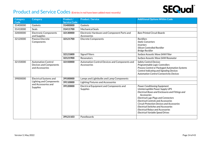# **SEQual**®

| Category<br>Code                           | <b>Category</b>                                                          | Product /<br><b>Service Code</b> | <b>Product / Service</b>                                                                                              | <b>Additional Options Within Code</b>                                                                                                                                                                                                                                                                                                                                                                                             |
|--------------------------------------------|--------------------------------------------------------------------------|----------------------------------|-----------------------------------------------------------------------------------------------------------------------|-----------------------------------------------------------------------------------------------------------------------------------------------------------------------------------------------------------------------------------------------------------------------------------------------------------------------------------------------------------------------------------------------------------------------------------|
| 31400000                                   | Gaskets                                                                  | 31400000                         | Gaskets                                                                                                               |                                                                                                                                                                                                                                                                                                                                                                                                                                   |
| 31410000                                   | <b>Seals</b>                                                             | 31411700                         | <b>Mechanical Seals</b>                                                                                               |                                                                                                                                                                                                                                                                                                                                                                                                                                   |
| 32000000                                   | <b>Electronic Components</b><br>and Supplies                             | 32130000                         | Electronic Hardware and Component Parts and<br>Accessories                                                            | <b>Bare Printed Circuit Boards</b>                                                                                                                                                                                                                                                                                                                                                                                                |
| 32120000<br>Passive Discrete<br>Components | 32121700                                                                 | <b>Discrete Components</b>       | Rectifiers<br><b>Static Converters</b><br><b>Inverters</b><br>Silicon Controlled Rectifier<br><b>Bridge Rectifier</b> |                                                                                                                                                                                                                                                                                                                                                                                                                                   |
|                                            |                                                                          | 32121800                         | <b>Signal Filters</b>                                                                                                 | Surface Acoustic Wave SAW Filter                                                                                                                                                                                                                                                                                                                                                                                                  |
|                                            |                                                                          | 32121900                         | Resonators                                                                                                            | Surface Acoustic Wave SAW Resonator                                                                                                                                                                                                                                                                                                                                                                                               |
| 32150000                                   | <b>Automation Control</b><br>Devices and Components<br>and Accessories   | 32150000                         | Automation Control Devices and Components and<br>Accessories                                                          | <b>Safety Control Devices</b><br>Programmable Logic Controllers<br>Process Control or Packaged Automation Systems<br><b>Control Indicating and Signaling Devices</b><br><b>Automation Control Connectivity Devices</b>                                                                                                                                                                                                            |
| 39000000                                   | <b>Electrical Systems and</b>                                            | 39100000                         | Lamps and Lightbulbs and Lamp Components                                                                              |                                                                                                                                                                                                                                                                                                                                                                                                                                   |
|                                            | <b>Lighting and Components</b><br>and Accessories and<br><b>Supplies</b> | 39110000                         | <b>Lighting Fixtures and Accessories</b>                                                                              |                                                                                                                                                                                                                                                                                                                                                                                                                                   |
|                                            |                                                                          | 39120000                         | Electrical Equipment and Components and<br><b>Supplies</b>                                                            | <b>Power Conditioning Equipment</b><br>Uninterruptible Power Supply UPS<br>Electrical Boxes and Enclosures and Fittings and<br>Accessories<br><b>Electrical Lugs Plugs and Connectors</b><br><b>Electrical Controls and Accessories</b><br><b>Circuit Protection Devices and Accessories</b><br><b>Electrical Switches and Accessories</b><br><b>Electrical Relays and Accessories</b><br><b>Electrical Variable Speed Drives</b> |
|                                            |                                                                          | 39121103                         | Panelboards                                                                                                           |                                                                                                                                                                                                                                                                                                                                                                                                                                   |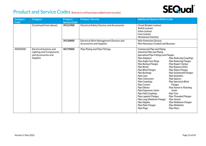

| Category<br>Code | <b>Category</b>                                                                             | Product /<br><b>Service Code</b> | <b>Product / Service</b>                                                         | <b>Additional Options Within Code</b>                                                                                                                                                                                                                                                                                                                                                                                                                                                                                                                                                                                                                                                                                                                                                                                                                                                                                                          |
|------------------|---------------------------------------------------------------------------------------------|----------------------------------|----------------------------------------------------------------------------------|------------------------------------------------------------------------------------------------------------------------------------------------------------------------------------------------------------------------------------------------------------------------------------------------------------------------------------------------------------------------------------------------------------------------------------------------------------------------------------------------------------------------------------------------------------------------------------------------------------------------------------------------------------------------------------------------------------------------------------------------------------------------------------------------------------------------------------------------------------------------------------------------------------------------------------------------|
|                  | [Continued from above]                                                                      | 39121900                         | <b>Electrical Safety Devices and Accessories</b>                                 | Circuit Breaker Lockout<br>Switch Lockout<br>Valve Lockout<br>Fuse Lockout<br><b>Mechanical Interlock</b>                                                                                                                                                                                                                                                                                                                                                                                                                                                                                                                                                                                                                                                                                                                                                                                                                                      |
|                  |                                                                                             | 39130000                         | <b>Electrical Wire Management Devices and</b><br><b>Accessories and Supplies</b> | <b>Wire Protection Devices</b><br>Wire Raceways Conduit and Busways                                                                                                                                                                                                                                                                                                                                                                                                                                                                                                                                                                                                                                                                                                                                                                                                                                                                            |
| 40000000         | Electrical Systems and<br>Lighting and Components<br>and Accessories and<br><b>Supplies</b> | 40170000                         | Pipe Piping and Pipe Fittings                                                    | <b>Commercial Pipe and Piping</b><br><b>Industrial Pipe and Piping</b><br>Specialized Pipe Fittings and Flanges<br>Pipe Adapters<br><b>Pipe Reducing Couplings</b><br>Pipe Angle Face Rings<br><b>Pipe Reducing Flanges</b><br>Pipe Backup Flanges<br><b>Pipe Repair Clamps</b><br>Pipe Bends<br>Pipe Rupture Disks<br><b>Pipe Blind Flanges</b><br><b>Pipe Slipon Flanges</b><br>Pipe Bushings<br><b>Pipe Socketweld Flanges</b><br>Pipe Caps<br>Pipe Sockolets<br>Pipe Connectors<br><b>Pipe Spacers</b><br>Pipe Couplings<br>Pipe Spectacle Blind<br><b>Pipe Crosses</b><br><b>Flanges</b><br>Pipe Elbows<br>Pipe Swivel or Rotating<br>Pipe Expansion Joints<br>Joints<br>Pipe Half Couplings<br>Pipe Tees<br><b>Pipe Lapjoint Flanges</b><br><b>Pipe Threaded Flanges</b><br>Pipe Long Weldneck Flanges<br><b>Pipe Unions</b><br>Pipe Nipples<br>Pipe Weldneck Flanges<br>Pipe Plate Flanges<br>Pipe Weldolets<br>Pipe Plugs<br>Pipe Wyes |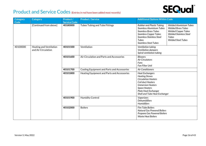

| <b>Category</b><br>Code | <b>Category</b>                                       | Product /<br><b>Service Code</b> | <b>Product / Service</b>                    | <b>Additional Options Within Code</b>                                                                                                                                                                    |                                                                                                                                                                 |
|-------------------------|-------------------------------------------------------|----------------------------------|---------------------------------------------|----------------------------------------------------------------------------------------------------------------------------------------------------------------------------------------------------------|-----------------------------------------------------------------------------------------------------------------------------------------------------------------|
|                         | [Continued from above]                                | 40180000                         | Tubes Tubing and Tube Fittings              | <b>Rubber and Plastic Tubing</b><br>Seamless Aluminium Tubes<br><b>Seamless Brass Tubes</b><br><b>Seamless Copper Tubes</b><br>Seamless Stainless Steel<br><b>Tubes</b><br><b>Seamless Steel Tubes</b>   | <b>Welded Aluminium Tubes</b><br><b>Welded Brass Tubes</b><br><b>Welded Copper Tubes</b><br><b>Welded Stainless Steel</b><br>Tubes<br><b>Welded Steel Tubes</b> |
| 40100000                | <b>Heating and Ventilation</b><br>and Air Circulation | 40101500                         | Ventilation                                 | Ventilation tubing<br>Ventilation dampers<br>Spiral ventilation tubing                                                                                                                                   |                                                                                                                                                                 |
|                         |                                                       | 40101600                         | Air Circulation and Parts and Accessories   | <b>Blowers</b><br><b>Air Circulators</b><br>Fans<br><b>Fan Filter Unit</b>                                                                                                                               |                                                                                                                                                                 |
|                         |                                                       | 40101700                         | Cooling Equipment and Parts and Accessories | <b>Air Conditioners</b>                                                                                                                                                                                  |                                                                                                                                                                 |
|                         |                                                       | 40101800                         | Heating Equipment and Parts and Accessories | <b>Heat Exchangers</b><br><b>Heating Stoves</b><br><b>Circulation Heaters</b><br>Coil duct Heaters<br><b>Immersion Heaters</b><br>Space Heaters<br>Plate Heat Exchanger<br>Shell and Tube Heat Exchanger |                                                                                                                                                                 |
|                         |                                                       | 40101900                         | <b>Humidity Control</b>                     | Vaporizers<br><b>Dehumidifiers</b><br>Humidifiers                                                                                                                                                        |                                                                                                                                                                 |
|                         |                                                       | 40102000                         | <b>Boilers</b>                              | <b>Fire Tube Boilers</b><br><b>Natural Gas Powered Boilers</b><br>Propane Gas Powered Boilers<br><b>Waste Heat Boilers</b>                                                                               |                                                                                                                                                                 |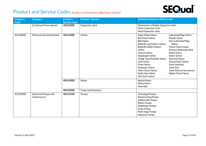

| Category | <b>Category</b>                     | Product /           | <b>Product / Service</b>   | <b>Additional Options Within Code</b>                                                                                                                                                                                                                                                                                                                                                                                                                                                                                                                                                                                                                                                                                                                           |
|----------|-------------------------------------|---------------------|----------------------------|-----------------------------------------------------------------------------------------------------------------------------------------------------------------------------------------------------------------------------------------------------------------------------------------------------------------------------------------------------------------------------------------------------------------------------------------------------------------------------------------------------------------------------------------------------------------------------------------------------------------------------------------------------------------------------------------------------------------------------------------------------------------|
| Code     |                                     | <b>Service Code</b> |                            |                                                                                                                                                                                                                                                                                                                                                                                                                                                                                                                                                                                                                                                                                                                                                                 |
|          | [Continued from above]              | 40102200            | <b>Expansion Joint</b>     | Elastomeric or Rubber Expansion Joint<br><b>Fabric Expansion Joint</b><br><b>Metal Expansion Joint</b>                                                                                                                                                                                                                                                                                                                                                                                                                                                                                                                                                                                                                                                          |
| 40140000 | Fluid and Gas distribution          | 40141600            | Valves                     | Angle Globe Valves<br><b>Lubricated Plug Valves</b><br><b>Ball Check Valves</b><br><b>Needle Valves</b><br><b>Ball Valves</b><br>Non-Lubricated Plug<br><b>Butterfly Lug Pattern Valves</b><br>Valves<br><b>Piston Check Valves</b><br><b>Butterfly Wafer Pattern</b><br>Valves<br><b>Pressure Reducing Valve</b><br><b>Control Valves</b><br><b>Relief Valves</b><br><b>Safety Valves</b><br>Diaphragm Valves<br>Solenoid Valves<br><b>Flange Type Butterfly Valves</b><br><b>Gate Valves</b><br><b>Swing Check Valves</b><br>Globe Valves<br>Valve Interlock<br><b>Hydraulic Valves</b><br><b>Valve Kits</b><br><b>Inline Check Valves</b><br><b>Valve Parts or Accessories</b><br>Knife Gate Valves<br><b>Wafer Check Valves</b><br><b>Lift Check Valves</b> |
|          |                                     | 40142000            | Hoses                      | <b>Special Hoses</b><br><b>Water Hoses</b><br>Hose Reel                                                                                                                                                                                                                                                                                                                                                                                                                                                                                                                                                                                                                                                                                                         |
|          |                                     | 40142500            | <b>Traps and Strainers</b> |                                                                                                                                                                                                                                                                                                                                                                                                                                                                                                                                                                                                                                                                                                                                                                 |
| 40150000 | Industrial Pumps and<br>Compressors | 40151500            | Pumps                      | Centrifugal Pumps<br><b>Reciprocating Pumps</b><br>Submersible Pumps<br><b>Rotary Pumps</b><br>Diaphragm Pumps<br><b>Screw Pumps</b><br>Multi Stage Pumps<br><b>Hydraulic Pumps</b>                                                                                                                                                                                                                                                                                                                                                                                                                                                                                                                                                                             |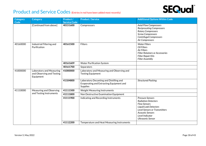

| <b>Category</b><br>Code | <b>Category</b>                                                    | Product /<br><b>Service Code</b> | <b>Product / Service</b>                                                                               | <b>Additional Options Within Code</b>                                                                                                                                                                                   |
|-------------------------|--------------------------------------------------------------------|----------------------------------|--------------------------------------------------------------------------------------------------------|-------------------------------------------------------------------------------------------------------------------------------------------------------------------------------------------------------------------------|
|                         | [Continued from above]                                             | 40151600                         | Compressors                                                                                            | <b>Axial Flow Compressors</b><br><b>Reciprocating Compressors</b><br><b>Rotary Compressors</b><br><b>Screw Compressors</b><br><b>Centrifugal Compressors</b><br>Air Compressors                                         |
| 40160000                | Industrial Filtering and<br>Purification                           | 40161500                         | Filters                                                                                                | <b>Water Filters</b><br>Oil Filters<br><b>Air Filters</b><br><b>Filter Retainers or Accessories</b><br><b>Filter Repair Kits</b><br><b>Filter Assembly</b>                                                              |
|                         |                                                                    | 40161609                         | <b>Water Purification System</b>                                                                       |                                                                                                                                                                                                                         |
|                         |                                                                    | 40161700                         | Separators                                                                                             |                                                                                                                                                                                                                         |
| 41000000                | Laboratory and Measuring<br>and Observing and Testing<br>Equipment | 41000000                         | Laboratory and Measuring and Observing and<br><b>Testing Equipment</b>                                 |                                                                                                                                                                                                                         |
|                         |                                                                    | 41104800                         | Laboratory Decanting and Distilling and<br>Evaporating and Extracting Equipment and<br><b>Supplies</b> | <b>Structured Packing</b>                                                                                                                                                                                               |
| 41110000                | Measuring and Observing                                            | 41111500                         | Weight Measuring Instruments                                                                           |                                                                                                                                                                                                                         |
|                         | and Testing Instruments                                            | 41111800                         | Non Destructive Examination Equipment                                                                  |                                                                                                                                                                                                                         |
|                         |                                                                    | 41111900                         | Indicating and Recording Instruments                                                                   | <b>Pressure Sensors</b><br><b>Radiation Detectors</b><br><b>Flow Sensors</b><br>Liquid Leak Detectors<br><b>Level Sensors or Transmitters</b><br><b>Acoustic Sensors</b><br>Level Indicator<br><b>Ultrasonic Sensor</b> |
|                         |                                                                    | 41112200                         | Temperature and Heat Measuring Instruments                                                             |                                                                                                                                                                                                                         |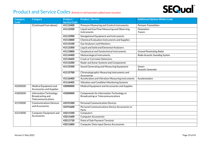

| <b>Category</b> | <b>Category</b>                                                         | Product /           | <b>Product / Service</b>                                                              | <b>Additional Options Within Code</b> |
|-----------------|-------------------------------------------------------------------------|---------------------|---------------------------------------------------------------------------------------|---------------------------------------|
| Code            |                                                                         | <b>Service Code</b> |                                                                                       |                                       |
|                 | [Continued from above]                                                  | 41112400            | Pressure Measuring and Control Instruments                                            | <b>Pressure Transmitters</b>          |
|                 |                                                                         | 41112500            | Liquid and Gas Flow Measuring and Observing                                           | Flowmeters                            |
|                 |                                                                         |                     | Instruments                                                                           | <b>Tracers</b>                        |
|                 |                                                                         | 41112900            | Navigational Equipment and Instruments                                                |                                       |
|                 |                                                                         | 41113000            | <b>Chemical Evaluation Instruments and Supplies</b>                                   |                                       |
|                 |                                                                         | 41113100            | <b>Gas Analysers and Monitors</b>                                                     |                                       |
|                 |                                                                         | 41113300            | Liquid and Solid and Elemental Analysers                                              |                                       |
|                 |                                                                         | 41113800            | Geophysical and Geotechnical Instruments                                              | <b>Ground Penetrating Radar</b>       |
|                 |                                                                         | 41114400            | Meteorological Instruments                                                            | Radio Acoustic Sounding System        |
|                 |                                                                         | 41114605            | <b>Crack or Corrosion Detectors</b>                                                   |                                       |
|                 |                                                                         | 41115200            | Radar and Sonar Systems and Components                                                |                                       |
|                 |                                                                         | 41115500            | Sound Generating and Measuring Equipment                                              | <b>Sonars</b><br>Acoustic Generator   |
|                 |                                                                         | 41115700            | Chromatographic Measuring Instruments and<br>Accessories                              |                                       |
|                 |                                                                         | 41116400            | Acceleration and Vibration Measuring Instruments                                      | Accelerometers                        |
|                 |                                                                         | 41116402            | Vibration and Condition Monitoring Systems                                            |                                       |
| 42000000        | Medical Equipment and<br><b>Accessories and Supplies</b>                | 42000000            | Medical Equipment and Accessories and Supplies                                        |                                       |
| 43000000        | <b>Information Technology</b><br>Broadcasting and<br>Telecommunications | 43200000            | Components for Information Technology or<br><b>Broadcasting or Telecommunications</b> |                                       |
| 43190000        | <b>Communications Devices</b>                                           | 43191500            | <b>Personal Communication Devices</b>                                                 |                                       |
|                 | and Accessories                                                         | 43191600            | Personal Communications Device Accessories or<br>Parts                                |                                       |
| 43210000        | Computer Equipment and                                                  | 43211500            | Computers                                                                             |                                       |
|                 | Accessories                                                             | 43211600            | <b>Computer Accessories</b>                                                           |                                       |
|                 |                                                                         | 43211720            | Point of Sale Payment Terminal                                                        |                                       |
|                 |                                                                         | 43211800            | Computer Data Input Device Accessories                                                |                                       |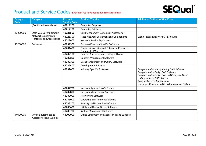

| Category<br><b>Code</b> | <b>Category</b>                                          | Product /<br><b>Service Code</b> | <b>Product / Service</b>                                                   | <b>Additional Options Within Code</b>                                                                                                                                                                                                                               |
|-------------------------|----------------------------------------------------------|----------------------------------|----------------------------------------------------------------------------|---------------------------------------------------------------------------------------------------------------------------------------------------------------------------------------------------------------------------------------------------------------------|
|                         | [Continued from above]                                   | 43211900                         | <b>Computer Displays</b>                                                   |                                                                                                                                                                                                                                                                     |
|                         |                                                          | 43212100                         | <b>Computer Printers</b>                                                   |                                                                                                                                                                                                                                                                     |
| 43220000                | Data Voice or Multimedia                                 | 43221500                         | Call Management Systems or Accessories                                     |                                                                                                                                                                                                                                                                     |
|                         | Network Equipment or<br><b>Platforms and Accessories</b> | 43221700                         | <b>Fixed Network Equipment and Components</b>                              | Global Positioning System GPS Antenna                                                                                                                                                                                                                               |
|                         |                                                          | 43222600                         | Network Service Equipment                                                  |                                                                                                                                                                                                                                                                     |
| 43230000                | Software                                                 | 43231500                         | <b>Business Function Specific Software</b>                                 |                                                                                                                                                                                                                                                                     |
|                         |                                                          | 43231600                         | Finance Accounting and Enterprise Resource<br><b>Planning ERP Software</b> |                                                                                                                                                                                                                                                                     |
|                         |                                                          | 43232100                         | Content Authoring and Editing Software                                     |                                                                                                                                                                                                                                                                     |
|                         |                                                          | 43232200                         | <b>Content Management Software</b>                                         |                                                                                                                                                                                                                                                                     |
|                         |                                                          | 43232300                         | Data Management and Query Software                                         |                                                                                                                                                                                                                                                                     |
|                         |                                                          | 43232400                         | Development Software                                                       |                                                                                                                                                                                                                                                                     |
|                         |                                                          | 43232600                         | <b>Industry Specific Software</b>                                          | <b>Computer Aided Manufacturing CAM Software</b><br>Computer Aided Design CAD Software<br>Computer Aided Design CAD and Computer Aided<br>Manufacturing CAM System<br>Analytical or Scientific Software<br><b>Emergency Response and Crisis Management Software</b> |
|                         |                                                          | 43232700                         | <b>Network Applications Software</b>                                       |                                                                                                                                                                                                                                                                     |
|                         |                                                          | 43232800                         | Network Management Software                                                |                                                                                                                                                                                                                                                                     |
|                         |                                                          | 43232900                         | Networking Software                                                        |                                                                                                                                                                                                                                                                     |
|                         |                                                          | 43233000                         | <b>Operating Environment Software</b>                                      |                                                                                                                                                                                                                                                                     |
|                         |                                                          | 43233200                         | Security and Protection Software                                           |                                                                                                                                                                                                                                                                     |
|                         |                                                          | 43233400                         | Utility and Device Driver Software                                         |                                                                                                                                                                                                                                                                     |
|                         |                                                          | 43233700                         | <b>System Management Software</b>                                          |                                                                                                                                                                                                                                                                     |
| 44000000                | Office Equipment and<br><b>Accessories and Supplies</b>  | 44000000                         | Office Equipment and Accessories and Supplies                              |                                                                                                                                                                                                                                                                     |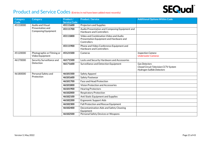

| Category<br>Code | <b>Category</b>                                | Product /<br><b>Service Code</b> | <b>Product / Service</b>                                                                        | <b>Additional Options Within Code</b>                                                              |
|------------------|------------------------------------------------|----------------------------------|-------------------------------------------------------------------------------------------------|----------------------------------------------------------------------------------------------------|
| 45110000         | <b>Audio and Visual</b>                        | 45111600                         | <b>Projectors and Supplies</b>                                                                  |                                                                                                    |
|                  | Presentation and<br><b>Composing Equipment</b> | 45111700                         | Audio Presentation and Composing Equipment and<br><b>Hardware and Controllers</b>               |                                                                                                    |
|                  |                                                | 45111800                         | Video and Combination Video and Audio<br>Presentation Equipment and Hardware and<br>Controllers |                                                                                                    |
|                  |                                                | 45111900                         | Phone and Video Conference Equipment and<br><b>Hardware and Controllers</b>                     |                                                                                                    |
| 45120000         | Photographic or Filming or<br>Video Equipment  | 45121500                         | Cameras                                                                                         | <b>Inspection Camera</b><br><b>Underwater Cameras</b>                                              |
| 46170000         | Security Surveillance and                      | 46171500                         | Locks and Security Hardware and Accessories                                                     |                                                                                                    |
|                  | Detection                                      | 46171600                         | Surveillance and Detection Equipment                                                            | <b>Gas Detectors</b><br><b>Closed Circuit Television CCTV System</b><br>Hydrogen Sulfide Detectors |
| 46180000         | Personal Safety and                            | 46181500                         | Safety Apparel                                                                                  |                                                                                                    |
|                  | Protection                                     | 46181600                         | Safety Footwear                                                                                 |                                                                                                    |
|                  |                                                | 46181700                         | <b>Face and Head Protection</b>                                                                 |                                                                                                    |
|                  |                                                | 46181800                         | <b>Vision Protection and Accessories</b>                                                        |                                                                                                    |
|                  |                                                | 46181900                         | <b>Hearing Protectors</b>                                                                       |                                                                                                    |
|                  |                                                | 46182000                         | <b>Respiratory Protection</b>                                                                   |                                                                                                    |
|                  |                                                | 46182100                         | Anti Static Equipment and Supplies                                                              |                                                                                                    |
|                  |                                                | 46182200                         | <b>Ergonomic Support Aids</b>                                                                   |                                                                                                    |
|                  |                                                | 46182300                         | Fall Protection and Rescue Equipment                                                            |                                                                                                    |
|                  |                                                | 46182400                         | Decontamination Aids and Safety Cleaning<br>Equipment                                           |                                                                                                    |
|                  |                                                | 46182500                         | Personal Safety Devices or Weapons                                                              |                                                                                                    |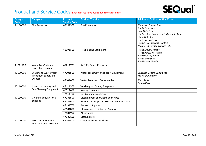

| <b>Category</b> | <b>Category</b>                                             | Product /           | <b>Product / Service</b>                    | <b>Additional Options Within Code</b>                                                                                                                                                                           |
|-----------------|-------------------------------------------------------------|---------------------|---------------------------------------------|-----------------------------------------------------------------------------------------------------------------------------------------------------------------------------------------------------------------|
| <b>Code</b>     |                                                             | <b>Service Code</b> |                                             |                                                                                                                                                                                                                 |
| 46190000        | <b>Fire Protection</b>                                      | 46191500            | <b>Fire Prevention</b>                      | Fire Alarm Control Panel<br><b>Smoke Detectors</b><br><b>Heat Detectors</b><br>Fire Resistant Coatings or Putties or Sealants<br><b>Flame Detectors</b><br>Fire Alarm Systems<br>Passive Fire Protection System |
|                 |                                                             |                     |                                             | <b>Thermal Observation Device TOD</b>                                                                                                                                                                           |
|                 |                                                             | 46191600            | Fire Fighting Equipment                     | Fire Sprinkler Systems<br><b>Fire Suppression System</b><br>Fire Escape Equipment<br>Fire Extinguishers<br><b>Fire Hoses or Nozzles</b>                                                                         |
| 46211700        | Work Area Safety and<br><b>Protective Equipment</b>         | 46211701            | <b>Anti Slip Safety Products</b>            |                                                                                                                                                                                                                 |
| 47100000        | Water and Wastewater<br>Treatment Supply and<br>Disposal    | 47101500            | Water Treatment and Supply Equipment        | <b>Corrosion Control Equipment</b><br>Mixers or Agitators                                                                                                                                                       |
|                 |                                                             | 47101600            | <b>Water Treatment Consumables</b>          | <b>Flocculents</b><br>Demulsifiers                                                                                                                                                                              |
| 47110000        | Industrial Laundry and                                      | 47111500            | Washing and Drying Equipment                |                                                                                                                                                                                                                 |
|                 | Dry Cleaning Equipment                                      | 47111600            | Ironing Equipment                           |                                                                                                                                                                                                                 |
|                 |                                                             | 47111700            | Dry Cleaning Equipment                      |                                                                                                                                                                                                                 |
| 47130000        | <b>Cleaning and Janitorial</b>                              | 47131500            | Cleaning Rags and Cloths and Wipes          |                                                                                                                                                                                                                 |
|                 | <b>Supplies</b>                                             | 47131600            | Brooms and Mops and Brushes and Accessories |                                                                                                                                                                                                                 |
|                 |                                                             | 47131700            | <b>Restroom Supplies</b>                    |                                                                                                                                                                                                                 |
|                 |                                                             | 47131800            | <b>Cleaning and Disinfecting Solutions</b>  |                                                                                                                                                                                                                 |
|                 |                                                             | 47131900            | Absorbents                                  |                                                                                                                                                                                                                 |
|                 |                                                             | 47132100            | <b>Cleaning Kits</b>                        |                                                                                                                                                                                                                 |
| 47140000        | <b>Toxic and Hazardous</b><br><b>Waste Cleanup Products</b> | 47141500            | Oil Spill Cleanup Products                  |                                                                                                                                                                                                                 |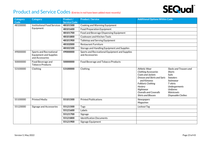

| Category<br>Code | <b>Category</b>                                                                    | Product /<br><b>Service Code</b> | <b>Product / Service</b>                                          | <b>Additional Options Within Code</b>                                                                                                                                                                                                      |                                                                                                                                                                                    |
|------------------|------------------------------------------------------------------------------------|----------------------------------|-------------------------------------------------------------------|--------------------------------------------------------------------------------------------------------------------------------------------------------------------------------------------------------------------------------------------|------------------------------------------------------------------------------------------------------------------------------------------------------------------------------------|
| 48100000         | <b>Institutional Food Services</b>                                                 | 48101500                         | Cooking and Warming Equipment                                     |                                                                                                                                                                                                                                            |                                                                                                                                                                                    |
|                  | Equipment                                                                          | 48101600                         | <b>Food Preparation Equipment</b>                                 |                                                                                                                                                                                                                                            |                                                                                                                                                                                    |
|                  |                                                                                    | 48101700                         | Food and Beverage Dispensing Equipment                            |                                                                                                                                                                                                                                            |                                                                                                                                                                                    |
|                  |                                                                                    | 48101800                         | Cookware and Kitchen Tools                                        |                                                                                                                                                                                                                                            |                                                                                                                                                                                    |
|                  |                                                                                    | 48101900                         | Tabletop and Serving Equipment                                    |                                                                                                                                                                                                                                            |                                                                                                                                                                                    |
|                  |                                                                                    | 48102000                         | <b>Restaurant Furniture</b>                                       |                                                                                                                                                                                                                                            |                                                                                                                                                                                    |
|                  |                                                                                    | 48102100                         | Storage and Handling Equipment and Supplies                       |                                                                                                                                                                                                                                            |                                                                                                                                                                                    |
| 49000000         | <b>Sports and Recreational</b><br><b>Equipment and Supplies</b><br>and Accessories | 49000000                         | Sports and Recreational Equipment and Supplies<br>and Accessories |                                                                                                                                                                                                                                            |                                                                                                                                                                                    |
| 50000000         | Food Beverage and<br><b>Tobacco Products</b>                                       | 50000000                         | Food Beverage and Tobacco Products                                |                                                                                                                                                                                                                                            |                                                                                                                                                                                    |
| 53100000         | Clothing                                                                           | 53100000                         | Clothing                                                          | <b>Athletic Wear</b><br><b>Clothing Accessories</b><br>Coats and Jackets<br>Dresses and Skirts and Saris<br>and Kimonos<br><b>Folkloric Clothing</b><br>Hosiery<br>Nightwear<br><b>Overalls and Coveralls</b><br><b>Shirts and Blouses</b> | Slacks and Trousers and<br><b>Shorts</b><br><b>Suits</b><br><b>Sweaters</b><br>Swimwear<br>T-shirts<br><b>Undergarments</b><br><b>Uniforms</b><br>Waistcoats<br>Disposable Clothes |
| 55100000         | <b>Printed Media</b>                                                               | 55101500                         | <b>Printed Publications</b>                                       | Newspapers<br><b>Magazines</b>                                                                                                                                                                                                             |                                                                                                                                                                                    |
| 55120000         | Signage and Accessories                                                            | 55121500                         | Tags                                                              | Lockout Tag                                                                                                                                                                                                                                |                                                                                                                                                                                    |
|                  |                                                                                    | 55121600                         | Labels                                                            |                                                                                                                                                                                                                                            |                                                                                                                                                                                    |
|                  |                                                                                    | 55121700                         | Signage                                                           |                                                                                                                                                                                                                                            |                                                                                                                                                                                    |
|                  |                                                                                    | 55121800                         | <b>Identification Documents</b>                                   |                                                                                                                                                                                                                                            |                                                                                                                                                                                    |
|                  |                                                                                    | 55121900                         | Signage Equipment                                                 |                                                                                                                                                                                                                                            |                                                                                                                                                                                    |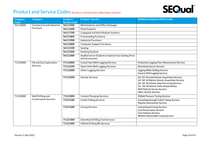

| <b>Category</b><br>Code | <b>Category</b>              | Product /<br><b>Service Code</b> | <b>Product / Service</b>                                              | <b>Additional Options Within Code</b>                                                                                                                                                                                                                       |
|-------------------------|------------------------------|----------------------------------|-----------------------------------------------------------------------|-------------------------------------------------------------------------------------------------------------------------------------------------------------------------------------------------------------------------------------------------------------|
| 56110000                | Commercial and Industrial    | 56111500                         | <b>Workstations and Office Packages</b>                               |                                                                                                                                                                                                                                                             |
|                         | Furniture                    | 56111600                         | Panel Systems                                                         |                                                                                                                                                                                                                                                             |
|                         |                              | 56111700                         | Casegood and Non Modular Systems                                      |                                                                                                                                                                                                                                                             |
|                         |                              | 56111800                         | <b>Freestanding Furniture</b>                                         |                                                                                                                                                                                                                                                             |
|                         |                              | 56111900                         | <b>Industrial Furniture</b>                                           |                                                                                                                                                                                                                                                             |
|                         |                              | 56112000                         | <b>Computer Support Furniture</b>                                     |                                                                                                                                                                                                                                                             |
|                         |                              | 56112100                         | Seating                                                               |                                                                                                                                                                                                                                                             |
|                         |                              | 56112200                         | <b>Desking Systems</b>                                                |                                                                                                                                                                                                                                                             |
|                         |                              | 56112300                         | Auditorium or Stadium or Special Use Seating Parts<br>and Accessories |                                                                                                                                                                                                                                                             |
| 71110000                | Oil and Gas Exploration      | 71112000                         | <b>Cased Hole Well Logging Services</b>                               | <b>Production Logging Flow Measurement Services</b>                                                                                                                                                                                                         |
|                         | Services                     | 71112100                         | Open Hole Well Logging Services                                       | <b>Directional Survey Services</b>                                                                                                                                                                                                                          |
|                         |                              | 71112200                         | <b>Other Logging Services</b>                                         | Logging While Drilling Services<br><b>General Well Logging Services</b>                                                                                                                                                                                     |
|                         |                              | 71112300                         | Seismic Services                                                      | 2d/3d/4d Land Seismic Acquisition Services<br>2d/3d/4d Marine Seismic Acquisition Services<br>2d/3d/4d Seismic Data Processing Services<br>2d / 3d/ 4d Seismic Data Interpretation<br><b>Well Velocity Survey Services</b><br><b>Other Seismic Services</b> |
| 71120000                | Well Drilling and            | 71121000                         | <b>Cement Pumping Services</b>                                        | <b>Oilfield Pressure Testing Services</b>                                                                                                                                                                                                                   |
|                         | <b>Construction Services</b> | 71121100                         | <b>Coiled Tubing Services</b>                                         | <b>Cementing through Coiled Tubing Services</b><br>Pipeline Intervention Services                                                                                                                                                                           |
|                         |                              | 71121200                         | <b>Coring Services</b>                                                | <b>Conventional Coring Services</b><br><b>Core Preservation Services</b><br>Core Analysis Services<br>Wireline Retrievable Coring Services                                                                                                                  |
|                         |                              | 71121300                         | Downhole Drilling Tool Services                                       |                                                                                                                                                                                                                                                             |
|                         |                              | 71121400                         | <b>Oilfield Drilling Bit Services</b>                                 |                                                                                                                                                                                                                                                             |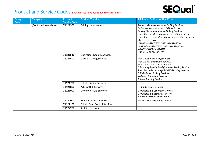

| Category<br>Code | <b>Category</b>        | Product /<br><b>Service Code</b> | <b>Product / Service</b>              | <b>Additional Options Within Code</b>                                                                                                                                                                                                                                                                                                                                                                                                                    |
|------------------|------------------------|----------------------------------|---------------------------------------|----------------------------------------------------------------------------------------------------------------------------------------------------------------------------------------------------------------------------------------------------------------------------------------------------------------------------------------------------------------------------------------------------------------------------------------------------------|
|                  | [Continued from above] | 71121500                         | <b>Drilling Measurement</b>           | Acoustic Measurement when Drilling Services<br>Caliper Measurement when Drilling Services<br>Density Measurement when Drilling Services<br>Formation Dip Measurement when Drilling Services<br>Formation Pressure Measurement when Drilling Services<br><b>Mud Logging Services</b><br>Porosity Measurement when Drilling Services<br>Resistivity Measurement when Drilling Services<br><b>Surveying Wireline Services</b><br>Well Site Geology Services |
|                  |                        | 71121518                         | <b>Operations Geology Services</b>    |                                                                                                                                                                                                                                                                                                                                                                                                                                                          |
|                  |                        | 71121600                         | Oil Well Drilling Services            | <b>Well Directional Drilling Services</b><br><b>Well Drilling Engineering Services</b><br>Well Drilling Mud or Fluid Services<br>Oil Country Tubular Modification or Testing Services<br>Steerable Underreaming while Well Drilling Services<br><b>Oilfield Gravel Packing Services</b><br><b>Wellhead Equipment Services</b><br><b>Tubular Running Service</b>                                                                                          |
|                  |                        | 71121700                         | <b>Oilfield Fishing Services</b>      |                                                                                                                                                                                                                                                                                                                                                                                                                                                          |
|                  |                        | 71121800                         | <b>Artificial Lift Services</b>       | <b>Hydraulic Lifting Services</b>                                                                                                                                                                                                                                                                                                                                                                                                                        |
|                  |                        | 71121900                         | Downhole Fluid Services               | Downhole Fluid Laboratory Services<br>Downhole Fluid Sampling Services<br>Fluid Waste Management Service                                                                                                                                                                                                                                                                                                                                                 |
|                  |                        | 71122000                         | <b>Well Perforating Services</b>      | <b>Wireline Well Perforating Services</b>                                                                                                                                                                                                                                                                                                                                                                                                                |
|                  |                        | 71122100                         | <b>Oilfield Sand Control Services</b> |                                                                                                                                                                                                                                                                                                                                                                                                                                                          |
|                  |                        | 71122200                         | <b>Slickline Services</b>             |                                                                                                                                                                                                                                                                                                                                                                                                                                                          |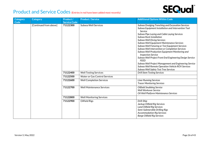## **SEQual**®

| <b>Category</b><br>Code | <b>Category</b>        | Product /<br><b>Service Code</b> | <b>Product / Service</b>             | <b>Additional Options Within Code</b>                                                                                                                                                                                                                                                                                                                                                                                                                                                                                                                                                                                                                                                           |
|-------------------------|------------------------|----------------------------------|--------------------------------------|-------------------------------------------------------------------------------------------------------------------------------------------------------------------------------------------------------------------------------------------------------------------------------------------------------------------------------------------------------------------------------------------------------------------------------------------------------------------------------------------------------------------------------------------------------------------------------------------------------------------------------------------------------------------------------------------------|
|                         | [Continued from above] | 71122300                         | Subsea Well Services                 | Subsea Dredging Trenching and Excavation Services<br>Subsea Equipment Installation and Intervention Tool<br>Service<br>Subsea Pipe Laying and Cable Laying Services<br>Subsea Rock Installation<br>Subsea Well Diving Services<br>Subsea Well Equipment Maintenance Services<br>Subsea Well Fixturing or Test Equipment Services<br>Subsea Well Intervention or Completion Services<br>Subsea Well Production Equipment Monitoring and<br><b>Inspection Service</b><br>Subsea Well Project Front End Engineering Design Service<br>FEED<br>Subsea Well Project Management and Engineering Service<br>Subsea Well Remote Operation Vehicle ROV Services<br>Subsea Well Safety Test Tree Services |
|                         |                        | 71122400                         | <b>Well Testing Services</b>         | <b>Drill Stem Testing Services</b>                                                                                                                                                                                                                                                                                                                                                                                                                                                                                                                                                                                                                                                              |
|                         |                        | 71122500                         | <b>Water or Gas Control Services</b> |                                                                                                                                                                                                                                                                                                                                                                                                                                                                                                                                                                                                                                                                                                 |
|                         |                        | 71122600                         | <b>Well Completion Services</b>      | <b>Liner Running Services</b><br><b>Tracer Monitoring Services</b>                                                                                                                                                                                                                                                                                                                                                                                                                                                                                                                                                                                                                              |
|                         |                        | 71122700                         | <b>Well Maintenance Services</b>     | <b>Oilfield Snubbing Service</b><br><b>Well Workover Service</b><br>Oil Well Platform Maintenance Services                                                                                                                                                                                                                                                                                                                                                                                                                                                                                                                                                                                      |
|                         |                        | 71122800                         | <b>Well Monitoring Services</b>      |                                                                                                                                                                                                                                                                                                                                                                                                                                                                                                                                                                                                                                                                                                 |
|                         |                        | 71122900                         | <b>Oilfield Rigs</b>                 | Drill-Ship<br>Jackup Oilfield Rig Services<br><b>Land Oilfield Rig Services</b><br>Semi-Submersible Drilling Rigs<br><b>Accommodation Rig Services</b><br><b>Barge Oilfield Rig Services</b>                                                                                                                                                                                                                                                                                                                                                                                                                                                                                                    |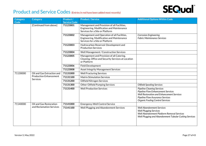

| <b>Category</b><br>Code | <b>Category</b>                                                         | Product /<br><b>Service Code</b> | <b>Product / Service</b>                                                                                                    | <b>Additional Options Within Code</b>                                                                                                                                                                      |
|-------------------------|-------------------------------------------------------------------------|----------------------------------|-----------------------------------------------------------------------------------------------------------------------------|------------------------------------------------------------------------------------------------------------------------------------------------------------------------------------------------------------|
|                         | [Continued from above]                                                  | 71123001                         | Management and Provision of all Facilities,<br>Engineering, Modification and Maintenance<br>Services for a Site or Platform |                                                                                                                                                                                                            |
|                         |                                                                         | 71123002                         | Management and Operation of all Facilities,<br>Engineering, Modification and Maintenance<br>Services for a Site or Platform | <b>Corrosion Engineering</b><br><b>Fabric Maintenance Services</b>                                                                                                                                         |
|                         |                                                                         | 71123003                         | Hydrocarbon Reservoir Development and<br><b>Production Services</b>                                                         |                                                                                                                                                                                                            |
|                         |                                                                         | 71123004                         | Well Management / Construction Services                                                                                     |                                                                                                                                                                                                            |
|                         |                                                                         | 71123005                         | Management and Provision of all Catering,<br>Cleaning, Office and Security Services at Location<br>or Platform              |                                                                                                                                                                                                            |
|                         |                                                                         | 71123006                         | <b>Field Development</b>                                                                                                    |                                                                                                                                                                                                            |
|                         |                                                                         | 71123008                         | <b>Asset Integrity Management Services</b>                                                                                  |                                                                                                                                                                                                            |
| 71130000                | Oil and Gas Extraction and<br><b>Production Enhancement</b><br>Services | 71131000                         | <b>Well Fracturing Services</b>                                                                                             |                                                                                                                                                                                                            |
|                         |                                                                         | 71131100                         | <b>Matrix Stimulation Services</b>                                                                                          |                                                                                                                                                                                                            |
|                         |                                                                         | 71131200                         | Oilfield Nitrogen Services                                                                                                  |                                                                                                                                                                                                            |
|                         |                                                                         | 71131300                         | <b>Other Oilfield Pumping Services</b>                                                                                      | <b>Oilfield Spooling Services</b>                                                                                                                                                                          |
|                         |                                                                         | 71131400                         | <b>Well Production Services</b>                                                                                             | <b>Pipeline Cleaning Services</b><br><b>Pipeline Flow Enhancement Services</b><br>Well Restoration and Enhancement Services<br>Pipeline Flow Assurance Services<br><b>Organic Fouling Control Services</b> |
| 71140000                | Oil and Gas Restoration                                                 | 71141000                         | <b>Emergency Well Control Service</b>                                                                                       |                                                                                                                                                                                                            |
|                         | and Reclamation Services                                                | 71141100                         | Well Plugging and Abandonment Services                                                                                      | <b>Well Abandonment Services</b><br><b>Well Plugging Services</b><br>Well Abandonment Platform Removal Services<br>Well Plugging and Abandonment Tubular Cutting Services                                  |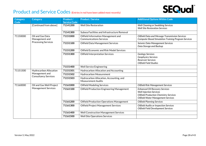# **SEQual**®

| Category<br>Code | <b>Category</b>                                                         | Product /<br><b>Service Code</b> | <b>Product / Service</b>                                              | <b>Additional Options Within Code</b>                                                                                                                                 |
|------------------|-------------------------------------------------------------------------|----------------------------------|-----------------------------------------------------------------------|-----------------------------------------------------------------------------------------------------------------------------------------------------------------------|
|                  | [Continued from above]                                                  | 71141200                         | <b>Well Site Restoration</b>                                          | <b>Well Cleaning or Swabbing Services</b><br><b>Well Site Restoration Services</b>                                                                                    |
|                  |                                                                         | 71141300                         | Subsea Facilities and Infrastructure Removal                          |                                                                                                                                                                       |
| 71150000         | Oil and Gas Data<br>Management and                                      | 71151000                         | Oilfield Information Management and<br><b>Communications Services</b> | Oilfield Data and Message Transmission Services<br><b>Computer Based Simulation Training Program Services</b>                                                         |
|                  | <b>Processing Services</b>                                              | 71151100                         | Oilfield Data Management Services                                     | Seismic Data Management Services<br>Data Storage and Backup                                                                                                           |
|                  |                                                                         | 71151200                         | <b>Oilfield Economic and Risk Model Services</b>                      |                                                                                                                                                                       |
|                  |                                                                         | 71151300                         | <b>Oilfield Interpretation Services</b>                               | <b>Geology Services</b><br>Geophysics Services<br>Reservoir Services<br>Oilfield Field Studies                                                                        |
|                  |                                                                         | 71151400                         | <b>Well Service Engineering</b>                                       |                                                                                                                                                                       |
| 71151500         | Hydrocarbon Allocation<br>Management and<br><b>Consultancy Services</b> | 71151501                         | <b>Hydrocarbon Allocation and Accounting</b>                          |                                                                                                                                                                       |
|                  |                                                                         | 71151502                         | <b>Hydrocarbon Measurement</b>                                        |                                                                                                                                                                       |
|                  |                                                                         | 71151503                         | Hydrocarbon Allocation, Accounting, and<br><b>Measurement Audits</b>  |                                                                                                                                                                       |
| 71160000         | Oil and Gas Well Project<br><b>Management Services</b>                  | 71161000                         | <b>Oilfield Modeling Services</b>                                     | Oilfield Risk Management Services                                                                                                                                     |
|                  |                                                                         | 71161100                         | <b>Oilfield Production Engineering Management</b>                     | <b>Enhanced Oil Recovery Services</b><br><b>Well Injection Services</b><br><b>Oilfield Production Chemistry Services</b><br><b>Oilfield Water Management Services</b> |
|                  |                                                                         | 71161200                         | <b>Oilfield Production Operations Management</b>                      | <b>Oilfield Planning Services</b>                                                                                                                                     |
|                  |                                                                         | 71161300                         | <b>Oilfield Project Management Services</b>                           | <b>Oilfield Audits or Inspection Services</b><br><b>Oilfield Field Development Services</b>                                                                           |
|                  |                                                                         | 71161400                         | <b>Well Construction Management Services</b>                          |                                                                                                                                                                       |
|                  |                                                                         | 71161500                         | <b>Well Site Operations Services</b>                                  |                                                                                                                                                                       |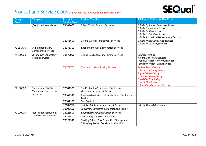

| <b>Category</b><br>Code | <b>Category</b>                                                    | Product /<br><b>Service Code</b> | <b>Product / Service</b>                                                                     | <b>Additional Options Within Code</b>                                                                                                                                                                                                             |
|-------------------------|--------------------------------------------------------------------|----------------------------------|----------------------------------------------------------------------------------------------|---------------------------------------------------------------------------------------------------------------------------------------------------------------------------------------------------------------------------------------------------|
|                         | [Continued from above]                                             | 71161600                         | <b>Other Oilfield Support Services</b>                                                       | Oilfield Equipment Brokerage Services<br><b>Oilfield Consultancy Services</b><br><b>Oilfield Drafting Services</b><br><b>Oilfield Certification Services</b><br><b>Oilfield Research and Development Services</b>                                 |
|                         |                                                                    | 71161800                         | Oilfield Waste Management Services                                                           | <b>Oilfield Waste Compaction Services</b><br><b>Oilfield Waste Baling Services</b>                                                                                                                                                                |
| 71161700                | Oilfield Regulatory<br><b>Compliance Services</b>                  | 71161701                         | Independent Well Examination Services                                                        |                                                                                                                                                                                                                                                   |
| 71170000                | Oil and Gas Laboratory<br><b>Testing Services</b>                  | 71170000                         | Oil and Gas Laboratory Testing Services                                                      | Crude Oil Testing<br><b>Natural Gas Testing Services</b><br><b>Produced Water Monitoring Services</b><br><b>Formation Water Testing Services</b>                                                                                                  |
|                         |                                                                    | 71171700                         | <b>Oil Condition Monitoring Services</b>                                                     | <b>Jet Fuel Recertification</b><br><b>Lube Oil Monitoring Service</b><br><b>Engine Oil Monitoring</b><br><b>Hydraulic Oil Monitoring</b><br><b>Diesel Fuel Monitoring</b><br><b>Fuel Oil Monitoring</b><br><b>Lubrication Management Services</b> |
| 72100000                | <b>Building and Facility</b><br>Maintenance and Repair<br>Services | 72101509                         | Fire Protection System and Equipment<br>Maintenance or Repair Service                        |                                                                                                                                                                                                                                                   |
|                         |                                                                    | 72101517                         | Portable Generator Maintenance and / or Repair<br>Service                                    |                                                                                                                                                                                                                                                   |
|                         |                                                                    | 72102100                         | Pest Control                                                                                 |                                                                                                                                                                                                                                                   |
|                         |                                                                    | 72102900                         | <b>Facility Maintenance and Repair Services</b>                                              | <b>Exterior Grounds Maintenance</b>                                                                                                                                                                                                               |
|                         |                                                                    | 72103100                         | Conveyance Systems Installation and Repair                                                   |                                                                                                                                                                                                                                                   |
| 72120000                | Nonresidential Building                                            | 72121500                         | <b>Industrial Plant Construction Services</b>                                                |                                                                                                                                                                                                                                                   |
|                         | <b>Construction Services</b>                                       | 72121503                         | Oil Refinery Construction Service                                                            |                                                                                                                                                                                                                                                   |
|                         |                                                                    | 72121510                         | Floating Oil and Gas Production Storage and<br><b>Offloading System Construction Service</b> |                                                                                                                                                                                                                                                   |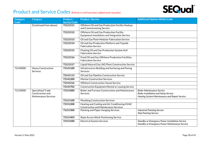

| <b>Category</b><br>Code | <b>Category</b>                                                             | Product /<br><b>Service Code</b> | <b>Product / Service</b>                                                                      | <b>Additional Options Within Code</b>                                                                                              |
|-------------------------|-----------------------------------------------------------------------------|----------------------------------|-----------------------------------------------------------------------------------------------|------------------------------------------------------------------------------------------------------------------------------------|
|                         | [Continued from above]                                                      | 72121511                         | Offshore Oil and Gas Production Facility Hookup<br>and Commissioning Service                  |                                                                                                                                    |
|                         |                                                                             | 72121512                         | Offshore Oil and Gas Production Facility<br>Equipment Installation and Integration Service    |                                                                                                                                    |
|                         |                                                                             | 72121513                         | Oil and Gas Plant Modular Fabrication Service                                                 |                                                                                                                                    |
|                         |                                                                             | 72121514                         | Oil and Gas Production Platform and Topside<br><b>Fabrication Service</b>                     |                                                                                                                                    |
|                         |                                                                             | 72121515                         | Floating Oil and Gas Production System Hull<br><b>Fabrication Service</b>                     |                                                                                                                                    |
|                         |                                                                             | 72121516                         | Fixed Oil and Gas Offshore Production Facilities<br><b>Fabrication Service</b>                |                                                                                                                                    |
|                         |                                                                             | 72121517                         | Liquid Natural Gas LNG Plant Construction Service                                             |                                                                                                                                    |
| 72140000                | <b>Heavy Construction</b><br><b>Services</b>                                | 72141100                         | Infrastructure Building and Surfacing and Paving<br>Services                                  |                                                                                                                                    |
|                         |                                                                             | 72141113                         | Oil and Gas Pipeline Construction Service                                                     |                                                                                                                                    |
|                         |                                                                             | 72141200                         | <b>Marine Construction Services</b>                                                           |                                                                                                                                    |
|                         |                                                                             | 72141216                         | <b>Offshore Construction Vessel Service</b>                                                   |                                                                                                                                    |
|                         |                                                                             | 72141702                         | <b>Construction Equipment Rental or Leasing Service</b>                                       |                                                                                                                                    |
| 72150000                | <b>Specialised Trade</b><br>Construction and<br><b>Maintenance Services</b> | 72151000                         | Boiler and Furnace Construction and Maintenance<br>Services                                   | <b>Boiler Maintenance Service</b><br><b>Boiler Installation and Setup Service</b><br>Heating System Maintenance and Repair Service |
|                         |                                                                             | 72151100                         | <b>Plumbing Construction Services</b>                                                         |                                                                                                                                    |
|                         |                                                                             | 72151200                         | Heating and Cooling and Air Conditioning HVAC<br><b>Construction and Maintenance Services</b> |                                                                                                                                    |
|                         |                                                                             | 72151300                         | Painting and Paper Hanging Services                                                           | <b>Industrial Painting Service</b><br><b>Ship Painting Service</b>                                                                 |
|                         |                                                                             | 72151403                         | Rope Access Work Positioning Service                                                          |                                                                                                                                    |
|                         |                                                                             | 72151500                         | <b>Electrical System Services</b>                                                             | Standby or Emergency Power Installation Service<br><b>Standby or Emergency Power Maintenance Service</b>                           |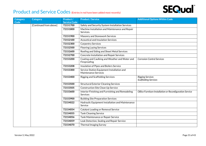

| <b>Category</b> | <b>Category</b>        | Product /                       | <b>Product / Service</b>                                           | <b>Additional Options Within Code</b>                    |
|-----------------|------------------------|---------------------------------|--------------------------------------------------------------------|----------------------------------------------------------|
| Code            | [Continued from above] | <b>Service Code</b><br>72151700 | Safety and Security System Installation Services                   |                                                          |
|                 |                        |                                 |                                                                    |                                                          |
|                 |                        | 72151800                        | Machine Installation and Maintenance and Repair<br>Services.       |                                                          |
|                 |                        | 72151900                        | Masonry and Stonework Services                                     |                                                          |
|                 |                        | 72152100                        | <b>Acoustical and Insulation Services</b>                          |                                                          |
|                 |                        | 72152300                        | <b>Carpentry Services</b>                                          |                                                          |
|                 |                        | 72152500                        | <b>Flooring Laying Services</b>                                    |                                                          |
|                 |                        | 72152600                        | Roofing and Siding and Sheet Metal Services                        |                                                          |
|                 |                        | 72152700                        | <b>Concrete Installation and Repair Services</b>                   |                                                          |
|                 |                        | 72153200                        | Coating and Caulking and Weather and Water and<br>Fireproofing     | <b>Corrosion Control Services</b>                        |
|                 |                        | 72153208                        | Insulation of Pipes and Boilers Service                            |                                                          |
|                 |                        | 72153300                        | Service Station Equipment Installation and<br>Maintenance Services |                                                          |
|                 |                        | 72153400                        | <b>Rigging and Scaffolding Services</b>                            | <b>Rigging Services</b><br><b>Scaffolding Services</b>   |
|                 |                        | 72153500                        | <b>Structural Exterior Cleaning Services</b>                       |                                                          |
|                 |                        | 72153505                        | <b>Construction Site Clean Up Service</b>                          |                                                          |
|                 |                        | 72153600                        | Interior Finishing and Furnishing and Remodeling<br>Services       | Office Furniture Installation or Reconfiguration Service |
|                 |                        | 72153900                        | <b>Building Site Preparation Services</b>                          |                                                          |
|                 |                        | 72154022                        | Hydraulic Equipment Installation and Maintenance<br>Service        |                                                          |
|                 |                        | 72154054                        | Catalyst Loading or Removal Service                                |                                                          |
|                 |                        | 72154055                        | <b>Tank Cleaning Service</b>                                       |                                                          |
|                 |                        | 72154056                        | Tank Maintenance or Repair Service                                 |                                                          |
|                 |                        | 72154059                        | Leak Detection, Sealing and Repair Service                         |                                                          |
|                 |                        | 72154070                        | <b>Thermal Imaging Survey</b>                                      |                                                          |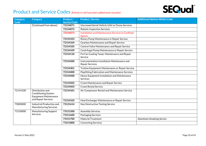

| <b>Category</b><br>Code | <b>Category</b>                                                                | Product /<br><b>Service Code</b> | <b>Product / Service</b>                                               | <b>Additional Options Within Code</b> |
|-------------------------|--------------------------------------------------------------------------------|----------------------------------|------------------------------------------------------------------------|---------------------------------------|
|                         | [Continued from above]                                                         | 72154071                         | Uncrewed Aerial Vehicle UAV or Drone Services                          |                                       |
|                         |                                                                                | 72154072                         | <b>Robotic Inspection Services</b>                                     |                                       |
|                         |                                                                                | 72154073                         | Installation and Maintenance Services in Confined<br><b>Spaces</b>     |                                       |
|                         |                                                                                | 72154103                         | Rotary Pump Maintenance or Repair Service                              |                                       |
|                         |                                                                                | 72154104                         | Gearbox Maintenance and Repair Service                                 |                                       |
|                         |                                                                                | 72154105                         | Control Valve Maintenance and Repair Service                           |                                       |
|                         |                                                                                | 72154109                         | Centrifugal Pump Maintenance or Repair Service                         |                                       |
|                         |                                                                                | 72154110                         | Fin Fan Cooling Tower Maintenance and Repair<br>Service                |                                       |
|                         |                                                                                | 72154200                         | Instrumentation Installation Maintenance and<br><b>Repair Services</b> |                                       |
|                         |                                                                                | 72154301                         | Turbine Equipment Maintenance or Repair Service                        |                                       |
|                         |                                                                                | 72154400                         | Pipefitting Fabrication and Maintenance Services                       |                                       |
|                         |                                                                                | 72154500                         | Heavy Equipment Installation and Maintenance<br>Services               |                                       |
|                         |                                                                                | 72154502                         | Crane Maintenance and Repair Service                                   |                                       |
|                         |                                                                                | 72154503                         | <b>Crane Rental Service</b>                                            |                                       |
| 72154100                | Distribution and<br><b>Conditioning System</b><br><b>Equipment Maintenance</b> | 72154101                         | Air Compressor Rental and Maintenance Service                          |                                       |
|                         | and Repair Services                                                            | 72154102                         | Heat Exchanger Maintenance or Repair Service                           |                                       |
| 73000000                | Industrial Production and<br><b>Manufacturing Services</b>                     | 73121614                         | Non Destructive Testing Service                                        |                                       |
| 73150000                | Manufacturing Support                                                          | 73151500                         | <b>Assembly Services</b>                                               |                                       |
|                         | Services                                                                       | 73151600                         | <b>Packaging Services</b>                                              |                                       |
|                         |                                                                                | 73151700                         | <b>Material Treatment</b>                                              | <b>Aluminium Anodising Service</b>    |
|                         |                                                                                | 73151800                         | <b>Converting Services</b>                                             |                                       |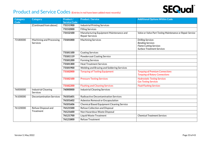

| Category                    | <b>Category</b>                               | Product /           | <b>Product / Service</b>                                          | <b>Additional Options Within Code</b>                                                                                     |
|-----------------------------|-----------------------------------------------|---------------------|-------------------------------------------------------------------|---------------------------------------------------------------------------------------------------------------------------|
| Code                        |                                               | <b>Service Code</b> |                                                                   |                                                                                                                           |
|                             | [Continued from above]                        | 73151900            | <b>Industrial Printing Services</b>                               |                                                                                                                           |
|                             |                                               | 73152000            | <b>Filling Services</b>                                           |                                                                                                                           |
|                             |                                               | 73152100            | Manufacturing Equipment Maintenance and<br><b>Repair Services</b> | Valve or Valve Part Testing Maintenance or Repair Service                                                                 |
| 73180000<br><b>Services</b> | Machining and Processing                      | 73181000            | <b>Machining Services</b>                                         | <b>Drilling Services</b><br><b>Bending Services</b><br><b>Flame Cutting Services</b><br><b>Surface Treatment Services</b> |
|                             |                                               | 73181100            | <b>Coating Services</b>                                           |                                                                                                                           |
|                             |                                               | 73181119            | <b>Powdercoat Coating Service</b>                                 |                                                                                                                           |
|                             |                                               | 73181200            | <b>Forming Services</b>                                           |                                                                                                                           |
|                             |                                               | 73181300            | <b>Heat Treatment Services</b>                                    |                                                                                                                           |
|                             |                                               | 73181900            | Welding and Brazing and Soldering Services                        |                                                                                                                           |
|                             |                                               | 73182000            | <b>Torquing of Tooling Equipment</b>                              | <b>Torquing of Premium Connections</b><br><b>Torquing of Rotary Connections</b>                                           |
|                             |                                               | 73182100            | <b>Pressure Testing Services</b>                                  | <b>Hydrostatic Testing Services</b><br><b>Gas Testing Services</b>                                                        |
|                             |                                               | 73182200            | <b>Flushing and Cleaning Services</b>                             | <b>Fluid Flushing Services</b>                                                                                            |
| 76000000                    | <b>Industrial Cleaning</b><br><b>Services</b> | 76000000            | <b>Industrial Cleaning Services</b>                               |                                                                                                                           |
| 76100000                    | <b>Decontamination Services</b>               | 76101601            | Radioactive Decontamination Services                              |                                                                                                                           |
|                             |                                               | 76101602            | Asbestos Removal or Encapsulation                                 |                                                                                                                           |
|                             |                                               | 76101606            | <b>Chemical Based Equipment Cleaning Service</b>                  |                                                                                                                           |
| 76120000                    | Refuse Disposal and                           | 76121500            | Refuse Collection and Disposal                                    |                                                                                                                           |
|                             | Treatment                                     | 76121600            | Non Hazardous Waste Disposal                                      |                                                                                                                           |
|                             |                                               | 76121700            | Liquid Waste Treatment                                            | <b>Chemical Treatment Services</b>                                                                                        |
|                             |                                               | 76121800            | <b>Refuse Treatment</b>                                           |                                                                                                                           |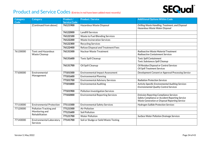

| <b>Category</b><br>Code | <b>Category</b>                                    | Product /<br><b>Service Code</b> | <b>Product / Service</b>                  | <b>Additional Options Within Code</b>                                                                                                              |
|-------------------------|----------------------------------------------------|----------------------------------|-------------------------------------------|----------------------------------------------------------------------------------------------------------------------------------------------------|
|                         | [Continued from above]                             | 76121900                         | Hazardous Waste Disposal                  | Drilling Waste Handling, Treatment, and Disposal<br>Hazardous Waste Water Disposal                                                                 |
|                         |                                                    | 76122000                         | <b>Landfill Services</b>                  |                                                                                                                                                    |
|                         |                                                    | 76122100                         | Waste to Fuel Blending Services           |                                                                                                                                                    |
|                         |                                                    | 76122200                         | <b>Waste Incineration Services</b>        |                                                                                                                                                    |
|                         |                                                    | 76122300                         | <b>Recycling Services</b>                 |                                                                                                                                                    |
|                         |                                                    | 76122400                         | <b>Refuse Disposal and Treatment Fees</b> |                                                                                                                                                    |
| 76130000                | <b>Toxic and Hazardous</b><br><b>Waste Cleanup</b> | 76131500                         | <b>Nuclear Waste Treatment</b>            | Radioactive Waste Material Treatment<br>Radioactive Containment Services                                                                           |
|                         |                                                    | 76131600                         | <b>Toxic Spill Cleanup</b>                | <b>Toxic Spill Containment</b><br><b>Toxic Substances Spill Cleanup</b>                                                                            |
|                         |                                                    | 76131700                         | Oil Spill Cleanup                         | Oil Residue Disposal or Control Services<br><b>Oil Spill Treatment Services</b>                                                                    |
| 77100000                | Environmental                                      | 77101500                         | Environmental Impact Assessment           | Development Consent or Approval Processing Service                                                                                                 |
|                         | Management                                         | 77101600                         | <b>Environmental Planning</b>             |                                                                                                                                                    |
|                         |                                                    | 77101700                         | <b>Environmental Advisory Services</b>    | <b>Radiation Protection Services</b>                                                                                                               |
|                         |                                                    | 77101800                         | <b>Environmental Auditing</b>             | <b>Activity Specific Environmental Auditing Services</b><br><b>Environmental Quality Control Services</b>                                          |
|                         |                                                    | 77101900                         | <b>Pollution Investigation Services</b>   |                                                                                                                                                    |
|                         |                                                    | 77102000                         | <b>Environmental Reporting Services</b>   | <b>Emission Reporting Compliance Services</b><br>Safety Compliance or Accident Reporting Service<br>Waste Generation or Disposal Reporting Service |
| 77110000                | <b>Environmental Protection</b>                    | 77111500                         | <b>Environmental Safety Services</b>      | <b>Hydrogen Sulfide Protection Services</b>                                                                                                        |
| 77120000                | Pollution Tracking and                             | 77121500                         | <b>Air Pollution</b>                      |                                                                                                                                                    |
|                         | Monitoring and<br>Rehabilitation                   | 77121600                         | <b>Soil Pollution</b>                     |                                                                                                                                                    |
|                         |                                                    | 77121700                         | <b>Water Pollution</b>                    | <b>Surface Water Pollution Drainage Services</b>                                                                                                   |
| 77140000                | Environmental Laboratory<br>Services               | 77141700                         | Soil or Sludge or Solid Waste Testing     |                                                                                                                                                    |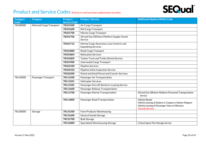

| Category         | <b>Category</b>          | Product /                       | <b>Product / Service</b>                                                | <b>Additional Options Within Code</b>                                                                                                               |
|------------------|--------------------------|---------------------------------|-------------------------------------------------------------------------|-----------------------------------------------------------------------------------------------------------------------------------------------------|
| Code<br>78100000 | Mail and Cargo Transport | <b>Service Code</b><br>78101500 | Air Cargo Transport                                                     |                                                                                                                                                     |
|                  |                          | 78101600                        | Rail Cargo Transport                                                    |                                                                                                                                                     |
|                  |                          |                                 |                                                                         |                                                                                                                                                     |
|                  |                          | 78101700                        | Marine Cargo Transport                                                  |                                                                                                                                                     |
|                  |                          | 78101706                        | Oil and Gas Offshore Platform Supply Vessel<br>Service                  |                                                                                                                                                     |
|                  |                          | 78101712                        | Marine Cargo Assurance, Loss Control, and<br><b>Expediting Services</b> |                                                                                                                                                     |
|                  |                          | 78101800                        | Road Cargo Transport                                                    |                                                                                                                                                     |
|                  |                          | 78101804                        | <b>Relocation Services</b>                                              |                                                                                                                                                     |
|                  |                          | 78101805                        | <b>Tanker Truck and Trailer Rental Service</b>                          |                                                                                                                                                     |
|                  |                          | 78101900                        | Intermodal Cargo Transport                                              |                                                                                                                                                     |
|                  |                          | 78102100                        | <b>Pipeline Services</b>                                                |                                                                                                                                                     |
|                  |                          | 78102103                        | Pipeline Inline Inspection Service                                      |                                                                                                                                                     |
|                  |                          | 78102200                        | Postal and Small Parcel and Courier Services                            |                                                                                                                                                     |
| 78110000         | Passenger Transport      | 78111500                        | Passenger Air Transportation                                            |                                                                                                                                                     |
|                  |                          | 78111501                        | <b>Helicopter Services</b>                                              |                                                                                                                                                     |
|                  |                          | 78111505                        | Passenger Aircraft Rental or Leasing Service                            |                                                                                                                                                     |
|                  |                          | 78111600                        | Passenger Railway Transportation                                        |                                                                                                                                                     |
|                  |                          | 78111700                        | Passenger Marine Transportation                                         | Oil and Gas Offshore Platform Personnel Transportation<br>Service                                                                                   |
|                  |                          | 78111800                        | Passenger Road Transportation                                           | Vehicle Rental<br>Vehicle Leasing of Sedans or Coupes or Station Wagons<br>Vehicle Leasing of Passenger Vans or Minivans<br><b>Taxicab Services</b> |
| 78130000         | Storage                  | 78131500                        | Farm Products Warehousing                                               |                                                                                                                                                     |
|                  |                          | 78131600                        | <b>General Goods Storage</b>                                            |                                                                                                                                                     |
|                  |                          | 78131700                        | <b>Bulk Storage</b>                                                     |                                                                                                                                                     |
|                  |                          | 78131800                        | Specialised Warehousing Storage                                         | Critical Spare Part Storage Service                                                                                                                 |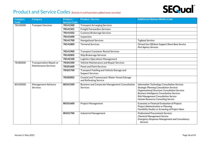## **SEQual**®

| <b>Category</b><br><b>Code</b> | <b>Category</b>                 | Product /<br><b>Service Code</b> | <b>Product / Service</b>                                                | <b>Additional Options Within Code</b>                                                                                                                                                                                                                                                        |
|--------------------------------|---------------------------------|----------------------------------|-------------------------------------------------------------------------|----------------------------------------------------------------------------------------------------------------------------------------------------------------------------------------------------------------------------------------------------------------------------------------------|
| 78140000                       | <b>Transport Services</b>       | 78141500                         | <b>Transport Arranging Services</b>                                     |                                                                                                                                                                                                                                                                                              |
|                                |                                 | 78141501                         | <b>Freight Forwarders Services</b>                                      |                                                                                                                                                                                                                                                                                              |
|                                |                                 | 78141502                         | <b>Customs Brokerage Services</b>                                       |                                                                                                                                                                                                                                                                                              |
|                                |                                 | 78141600                         | Inspection                                                              |                                                                                                                                                                                                                                                                                              |
|                                |                                 | 78141700                         | Navigational Services                                                   | <b>Tugboat Services</b>                                                                                                                                                                                                                                                                      |
|                                |                                 | 78141800                         | <b>Terminal Services</b>                                                | Oil and Gas Offshore Support Shore Base Service<br>Port Agency Services                                                                                                                                                                                                                      |
|                                |                                 | 78141900                         | <b>Transport Container Rental Services</b>                              |                                                                                                                                                                                                                                                                                              |
|                                |                                 | 78142005                         | <b>Ship Brokerage Services</b>                                          |                                                                                                                                                                                                                                                                                              |
|                                |                                 | 78142100                         | Logistics Operations Management                                         |                                                                                                                                                                                                                                                                                              |
| 78180000                       | Transportation Repair or        | 78181500                         | Vehicle Maintenance and Repair Services                                 |                                                                                                                                                                                                                                                                                              |
|                                | <b>Maintenance Services</b>     | 78181600                         | <b>Panel and Paint Services</b>                                         |                                                                                                                                                                                                                                                                                              |
|                                |                                 | 78181700                         | Transport Fuelling and Vehicle Storage and<br><b>Support Services</b>   |                                                                                                                                                                                                                                                                                              |
|                                |                                 | 78182002                         | Coastal and Transoceanic Water Vessel Salvage<br>and Refloating Service |                                                                                                                                                                                                                                                                                              |
| 80100000                       | Management Advisory<br>Services | 80101500                         | Business and Corporate Management Consultation<br><b>Services</b>       | Information Technology Consultation Services<br><b>Strategic Planning Consultation Services</b><br>Organisational Structure Consultation Services<br><b>Business Intelligence Consultation Services</b><br>Risk Management Consultation Service<br><b>Human Resources Consulting Service</b> |
|                                |                                 | 80101600                         | <b>Project Management</b>                                               | Economic or Financial Evaluation of Projects<br>Project Administration or Planning<br>Feasibility Studies or Screening of Project Ideas                                                                                                                                                      |
|                                |                                 | 80101700                         | Industrial Management                                                   | <b>Professional Procurement Services</b><br><b>Chemical Management Service</b><br><b>Emergency Response Management and Consultancy</b><br><b>Services</b>                                                                                                                                    |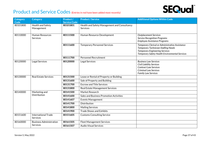

| <b>Category</b><br><b>Code</b> | <b>Category</b>                        | Product /<br><b>Service Code</b> | <b>Product / Service</b>                                        | <b>Additional Options Within Code</b>                                                                                                                                                    |
|--------------------------------|----------------------------------------|----------------------------------|-----------------------------------------------------------------|------------------------------------------------------------------------------------------------------------------------------------------------------------------------------------------|
| 80101800                       | Health and Safety<br>Management        | 80101801                         | Health and Safety Management and Consultancy<br><b>Services</b> |                                                                                                                                                                                          |
| 80110000                       | <b>Human Resources</b><br>Services     | 80111500                         | Human Resource Development                                      | <b>Outplacement Services</b><br><b>Service Recognition Programs</b><br><b>Employee Assistance Programs</b>                                                                               |
|                                |                                        | 80111600                         | <b>Temporary Personnel Services</b>                             | Temporary Clerical or Administrative Assistance<br><b>Temporary Technician Staffing Needs</b><br><b>Temporary Engineering Services</b><br>Temporary Safety Health Environmental Services |
|                                |                                        | 80111700                         | <b>Personnel Recruitment</b>                                    |                                                                                                                                                                                          |
| 80120000                       | Legal Services                         | 80120000                         | Legal Services                                                  | <b>Business Law Services</b><br><b>Civil Liability Services</b><br><b>Contract Law Services</b><br><b>Criminal Law Services</b><br><b>Family Law Services</b>                            |
| 80130000                       | <b>Real Estate Services</b>            | 80131500                         | Lease or Rental of Property or Building                         |                                                                                                                                                                                          |
|                                |                                        | 80131600                         | Sale of Property and Building                                   |                                                                                                                                                                                          |
|                                |                                        | 80131700                         | <b>Escrow and Title Services</b>                                |                                                                                                                                                                                          |
|                                |                                        | 80131800                         | Real Estate Management Services                                 |                                                                                                                                                                                          |
| 80140000                       | Marketing and<br>Distribution          | 80141500                         | Market Research                                                 |                                                                                                                                                                                          |
|                                |                                        | 80141600                         | Sales and Business Promotion Activities                         |                                                                                                                                                                                          |
|                                |                                        | 80141607                         | <b>Events Management</b>                                        |                                                                                                                                                                                          |
|                                |                                        | 80141700                         | Distribution                                                    |                                                                                                                                                                                          |
|                                |                                        | 80141800                         | <b>Mailing Services</b>                                         |                                                                                                                                                                                          |
|                                |                                        | 80141900                         | <b>Trade Shows and Exhibits</b>                                 |                                                                                                                                                                                          |
| 80151600                       | <b>International Trade</b><br>Services | 80151605                         | <b>Customs Consulting Service</b>                               |                                                                                                                                                                                          |
| 80160000                       | <b>Business Administration</b>         | 80161505                         | <b>Fleet Management Services</b>                                |                                                                                                                                                                                          |
|                                | Services                               | 80161507                         | <b>Audio Visual Services</b>                                    |                                                                                                                                                                                          |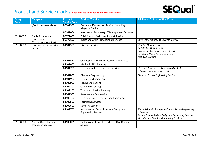## **SEQual**®

| Category<br>Code            | <b>Category</b>                                    | Product /<br><b>Service Code</b> | <b>Product / Service</b>                                               | <b>Additional Options Within Code</b>                                                                                                                                                     |
|-----------------------------|----------------------------------------------------|----------------------------------|------------------------------------------------------------------------|-------------------------------------------------------------------------------------------------------------------------------------------------------------------------------------------|
|                             | [Continued from above]                             | 80161508                         | Document Destruction Services, including<br>Magnetic Media             |                                                                                                                                                                                           |
|                             |                                                    | 80161604                         | Information Technology IT Management Services                          |                                                                                                                                                                                           |
| 80170000                    | <b>Public Relations and</b>                        | 80171600                         | <b>Publicity and Marketing Support Services</b>                        |                                                                                                                                                                                           |
|                             | Professional<br><b>Communications Services</b>     | 80172100                         | <b>Issues and Crisis Management Services</b>                           | <b>Crisis Management and Recovery Service</b>                                                                                                                                             |
| 81100000<br><b>Services</b> | <b>Professional Engineering</b>                    | 81101500                         | <b>Civil Engineering</b>                                               | <b>Structural Engineering</b><br><b>Architectural Engineering</b><br>Geotechnical or Geoseismic Engineering<br>Harbour or Water Ports Engineering<br><b>Technical Drawing</b>             |
|                             |                                                    | 81101512                         | Geographic Information System GIS Services                             |                                                                                                                                                                                           |
|                             |                                                    | 81101600                         | <b>Mechanical Engineering</b>                                          |                                                                                                                                                                                           |
|                             |                                                    | 81101700                         | <b>Electrical and Electronic Engineering</b>                           | Electronic Measurement and Recording Instrument<br><b>Engineering and Design Service</b>                                                                                                  |
|                             |                                                    | 81101800                         | <b>Chemical Engineering</b>                                            | <b>Chemical Process Engineering Service</b>                                                                                                                                               |
|                             |                                                    | 81101900                         | Oil and Gas Engineering                                                |                                                                                                                                                                                           |
|                             |                                                    | 81102000                         | Mining Engineering                                                     |                                                                                                                                                                                           |
|                             |                                                    | 81102100                         | Ocean Engineering                                                      |                                                                                                                                                                                           |
|                             |                                                    | 81102200                         | <b>Transportation Engineering</b>                                      |                                                                                                                                                                                           |
|                             |                                                    | 81102300                         | <b>Aeronautical Engineering</b>                                        |                                                                                                                                                                                           |
|                             |                                                    | 81102400                         | Electrical Power Transmission Engineering                              |                                                                                                                                                                                           |
|                             |                                                    | 81102500                         | <b>Permitting Services</b>                                             |                                                                                                                                                                                           |
|                             |                                                    | 81102600                         | <b>Sampling Services</b>                                               |                                                                                                                                                                                           |
|                             |                                                    | 81102700                         | Instrumented Control Systems Design and<br><b>Engineering Services</b> | Fire and Gas Monitoring and Control System Engineering<br><b>Services</b><br>Process Control System Design and Engineering Services<br><b>Vibration and Condition Monitoring Services</b> |
| 81103000                    | Marine Operation and<br><b>Inspection Services</b> | 81103001                         | Under Water Inspection in lieu of Dry-Docking<br>Service               |                                                                                                                                                                                           |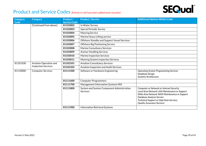

| Category<br>Code | <b>Category</b>                                      | Product /<br><b>Service Code</b> | <b>Product / Service</b>                                      | <b>Additional Options Within Code</b>                                                                                                                                                                                                                  |
|------------------|------------------------------------------------------|----------------------------------|---------------------------------------------------------------|--------------------------------------------------------------------------------------------------------------------------------------------------------------------------------------------------------------------------------------------------------|
|                  | [Continued from above]                               | 81103002                         | In Water Survey                                               |                                                                                                                                                                                                                                                        |
|                  |                                                      | 81103003                         | <b>Special Periodic Survey</b>                                |                                                                                                                                                                                                                                                        |
|                  |                                                      | 81103004                         | <b>Mooring Service</b>                                        |                                                                                                                                                                                                                                                        |
|                  |                                                      | 81103005                         | Marine Heavy Lifting service                                  |                                                                                                                                                                                                                                                        |
|                  |                                                      | 81103006                         | Offshore Standby and Support Vessel Services                  |                                                                                                                                                                                                                                                        |
|                  |                                                      | 81103007                         | Offshore Rig Positioning Service                              |                                                                                                                                                                                                                                                        |
|                  |                                                      | 81103008                         | Marine Consultancy Services                                   |                                                                                                                                                                                                                                                        |
|                  |                                                      | 81103009                         | <b>Anchor Handling Services</b>                               |                                                                                                                                                                                                                                                        |
|                  |                                                      | 81103010                         | Marine Inspection Services                                    |                                                                                                                                                                                                                                                        |
|                  |                                                      | 81103011                         | Mooring System Inspection Services                            |                                                                                                                                                                                                                                                        |
| 81103100         | Aviation Operation and<br><b>Inspection Services</b> | 81103101                         | <b>Aviation Consultancy Services</b>                          |                                                                                                                                                                                                                                                        |
|                  |                                                      | 81103102                         | Aviation Inspection and Audit Services                        |                                                                                                                                                                                                                                                        |
| 81110000         | <b>Computer Services</b>                             | 81111500                         | Software or Hardware Engineering                              | <b>Operating System Programming Services</b><br>Database Design<br>Systems Architecture                                                                                                                                                                |
|                  |                                                      | 81111600                         | <b>Computer Programmers</b>                                   |                                                                                                                                                                                                                                                        |
|                  |                                                      | 81111700                         | Management Information Systems MIS                            |                                                                                                                                                                                                                                                        |
|                  |                                                      | 81111800                         | System and System Component Administration<br><b>Services</b> | Computer or Network or Internet Security<br>Local Area Network LAN Maintenance or Support<br>Wide Area Network WAN Maintenance or Support<br>Database Analysis Service<br>Technical Support or Help Desk Services<br><b>Quality Assurance Services</b> |
|                  |                                                      | 81111900                         | <b>Information Retrieval Systems</b>                          |                                                                                                                                                                                                                                                        |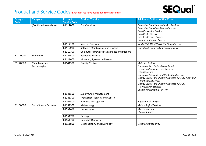

| Category<br>Code | <b>Category</b>               | Product /<br><b>Service Code</b> | <b>Product / Service</b>                         | <b>Additional Options Within Code</b>                                                                                                                                                                                                                                                                                                                                                                       |
|------------------|-------------------------------|----------------------------------|--------------------------------------------------|-------------------------------------------------------------------------------------------------------------------------------------------------------------------------------------------------------------------------------------------------------------------------------------------------------------------------------------------------------------------------------------------------------------|
|                  | [Continued from above]        | 81112000                         | Data Services                                    | <b>Content or Data Standardisation Services</b><br><b>Content or Data Classification Services</b><br><b>Data Conversion Service</b><br>Data Center Services<br><b>Disaster Recovery Services</b><br><b>Document Scanning Services</b>                                                                                                                                                                       |
|                  |                               | 81112100                         | <b>Internet Services</b>                         | World Wide Web WWW Site Design Services                                                                                                                                                                                                                                                                                                                                                                     |
|                  |                               | 81112200                         | Software Maintenance and Support                 | Operating System Software Maintenance                                                                                                                                                                                                                                                                                                                                                                       |
|                  |                               | 81112300                         | <b>Computer Hardware Maintenance and Support</b> |                                                                                                                                                                                                                                                                                                                                                                                                             |
| 81120000         | Economics                     | 81121500                         | <b>Economic Analysis</b>                         |                                                                                                                                                                                                                                                                                                                                                                                                             |
|                  |                               | 81121600                         | Monetary Systems and Issues                      |                                                                                                                                                                                                                                                                                                                                                                                                             |
| 81140000         | Manufacturing<br>Technologies | 81141500                         | <b>Quality Control</b>                           | <b>Materials Testing</b><br>Equipment Test Calibration or Repair<br><b>Production Standards Development</b><br><b>Product Testing</b><br>Equipment Inspection and Verification Services<br>Quality Control and Quality Assurance (QA/QC) Audit and<br><b>Verification Services</b><br>Quality Control and Quality Assurance (QA/QC)<br><b>Consultancy Services</b><br><b>Client Representative Services</b> |
|                  |                               | 81141600                         | Supply Chain Management                          |                                                                                                                                                                                                                                                                                                                                                                                                             |
|                  |                               | 81141700                         | <b>Production Planning and Control</b>           |                                                                                                                                                                                                                                                                                                                                                                                                             |
|                  |                               | 81141800                         | <b>Facilities Management</b>                     | Safety or Risk Analysis                                                                                                                                                                                                                                                                                                                                                                                     |
| 81150000         | <b>Earth Science Services</b> | 81151500                         | Meteorology                                      | Meteorological Services                                                                                                                                                                                                                                                                                                                                                                                     |
|                  |                               | 81151600                         | Cartography                                      | <b>Map Production</b><br>Photogrammetry                                                                                                                                                                                                                                                                                                                                                                     |
|                  |                               | 81151700                         | Geology                                          |                                                                                                                                                                                                                                                                                                                                                                                                             |
|                  |                               | 81151703                         | <b>Geological Surveys</b>                        |                                                                                                                                                                                                                                                                                                                                                                                                             |
|                  |                               | 81151800                         | Oceanography and Hydrology                       | Oceanographic Survey                                                                                                                                                                                                                                                                                                                                                                                        |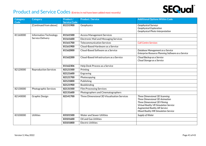

| Category | <b>Category</b>               | Product /           | <b>Product / Service</b>                      | <b>Additional Options Within Code</b>                                                                                                                                                                                         |
|----------|-------------------------------|---------------------|-----------------------------------------------|-------------------------------------------------------------------------------------------------------------------------------------------------------------------------------------------------------------------------------|
| Code     |                               | <b>Service Code</b> |                                               |                                                                                                                                                                                                                               |
|          | [Continued from above]        | 81151900            | Geophysics                                    | <b>Geophysical Surveys</b>                                                                                                                                                                                                    |
|          |                               |                     |                                               | Geophysical Exploration<br>Geophysical Photo Interpretation                                                                                                                                                                   |
| 81160000 | <b>Information Technology</b> | 81161500            | <b>Access Management Services</b>             |                                                                                                                                                                                                                               |
|          | Service Delivery              | 81161600            | <b>Electronic Mail and Messaging Services</b> |                                                                                                                                                                                                                               |
|          |                               |                     |                                               |                                                                                                                                                                                                                               |
|          |                               | 81161700            | <b>Telecommunication Services</b>             | <b>Call Centre Services</b>                                                                                                                                                                                                   |
|          |                               | 81161900            | Cloud-Based Hardware as a Service             |                                                                                                                                                                                                                               |
|          |                               | 81162000            | Cloud-Based Software as a Service             | Database Management as a Service<br>Enterprise Resource Planning Software as a Service                                                                                                                                        |
|          |                               | 81162200            | Cloud-Based Infrastructure as a Service       | Cloud Backup as a Service<br>Cloud Storage as a Service                                                                                                                                                                       |
|          |                               | 81162306            | Help Desk Process as a Service                |                                                                                                                                                                                                                               |
| 82120000 | <b>Reproduction Services</b>  | 82121500            | Printing                                      |                                                                                                                                                                                                                               |
|          |                               | 82121600            | Engraving                                     |                                                                                                                                                                                                                               |
|          |                               | 82121700            | Photocopying                                  |                                                                                                                                                                                                                               |
|          |                               | 82121800            | Publishing                                    |                                                                                                                                                                                                                               |
|          |                               | 82121900            | Bookbinding                                   |                                                                                                                                                                                                                               |
| 82130000 | <b>Photographic Services</b>  | 82131500            | <b>Film Processing Services</b>               |                                                                                                                                                                                                                               |
|          |                               | 82131600            | Photographers and Cinematographers            |                                                                                                                                                                                                                               |
| 82140000 | <b>Graphic Design</b>         | 82141700            | Three Dimensional 3D Visualisation Services   | Three Dimensional 3D Scanning<br>Three Dimensional 3D Animation<br>Three Dimensional 3D Filming<br><b>Virtual Reality VR Simulation Service</b><br><b>Augmented Reality AR Service</b><br>Mixed Reality MR Simulation Service |
| 83100000 | <b>Utilities</b>              | 83101500            | <b>Water and Sewer Utilities</b>              | Supply of Water                                                                                                                                                                                                               |
|          |                               | 83101600            | Oil and Gas Utilities                         |                                                                                                                                                                                                                               |
|          |                               | 83101800            | <b>Electric Utilities</b>                     |                                                                                                                                                                                                                               |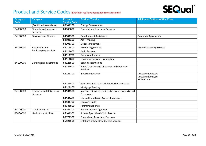

| <b>Category</b><br>Code | <b>Category</b>                               | Product /<br><b>Service Code</b> | <b>Product / Service</b>                                          | <b>Additional Options Within Code</b>                                   |
|-------------------------|-----------------------------------------------|----------------------------------|-------------------------------------------------------------------|-------------------------------------------------------------------------|
|                         | [Continued from above]                        | 83101900                         | <b>Energy Conservation</b>                                        |                                                                         |
| 84000000                | <b>Financial and Insurance</b><br>Services    | 84000000                         | <b>Financial and Insurance Services</b>                           |                                                                         |
| 84100000                | <b>Development Finance</b>                    | 84101500                         | Development Assistance                                            | <b>Guarantee Agreements</b>                                             |
|                         |                                               | 84101600                         | <b>Aid Financing</b>                                              |                                                                         |
|                         |                                               | 84101700                         | Debt Management                                                   |                                                                         |
| 84110000                | Accounting and<br><b>Bookkeeping Services</b> | 84111500                         | <b>Accounting Services</b>                                        | <b>Payroll Accounting Services</b>                                      |
|                         |                                               | 84111600                         | <b>Audit Services</b>                                             |                                                                         |
|                         |                                               | 84111700                         | Corporate Finance                                                 |                                                                         |
|                         |                                               | 84111800                         | Taxation issues and Preparation                                   |                                                                         |
| 84120000                | Banking and Investment                        | 84121500                         | <b>Banking Institutions</b>                                       |                                                                         |
|                         |                                               | 84121600                         | Funds Transfer and Clearance and Exchange<br><b>Services</b>      |                                                                         |
|                         |                                               | 84121700                         | <b>Investment Advice</b>                                          | <b>Investment Advisers</b><br><b>Investment Analysis</b><br>Market Data |
|                         |                                               | 84121800                         | Securities and Commodities Markets Services                       |                                                                         |
|                         |                                               | 84121900                         | Mortgage Banking                                                  |                                                                         |
| 84130000                | Insurance and Retirement<br>Services          | 84131500                         | Insurance Services for Structures and Property and<br>Possessions |                                                                         |
|                         |                                               | 84131600                         | Life and Health and Accident Insurance                            |                                                                         |
|                         |                                               | 84131700                         | <b>Pension Funds</b>                                              |                                                                         |
|                         |                                               | 84131800                         | <b>Retirement Funds</b>                                           |                                                                         |
| 84140000                | <b>Credit Agencies</b>                        | 84141700                         | <b>Business Credit Agencies</b>                                   |                                                                         |
| 85000000                | <b>Healthcare Services</b>                    | 85101502                         | <b>Private Specialised Clinic Services</b>                        |                                                                         |
|                         |                                               | 85171500                         | <b>Funeral and Associated Services</b>                            |                                                                         |
|                         |                                               | 85121505                         | Offshore or Site-Based Medic Services                             |                                                                         |